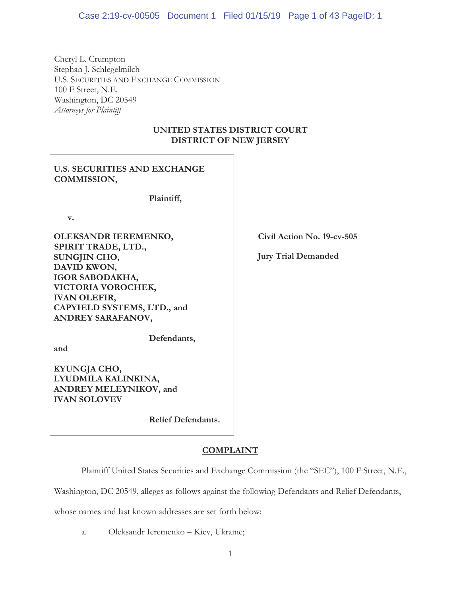Cheryl L. Crumpton Stephan J. Schlegelmilch U.S. SECURITIES AND EXCHANGE COMMISSION 100 F Street, N.E. Washington, DC 20549 *Attorneys for Plaintiff* 

# **UNITED STATES DISTRICT COURT DISTRICT OF NEW JERSEY**

# **U.S. SECURITIES AND EXCHANGE COMMISSION,**

**Plaintiff,** 

**v.** 

**OLEKSANDR IEREMENKO, SPIRIT TRADE, LTD., SUNGJIN CHO, DAVID KWON, IGOR SABODAKHA, VICTORIA VOROCHEK, IVAN OLEFIR, CAPYIELD SYSTEMS, LTD., and ANDREY SARAFANOV,** 

**and** 

**Defendants,** 

**KYUNGJA CHO, LYUDMILA KALINKINA, ANDREY MELEYNIKOV, and IVAN SOLOVEV** 

**Relief Defendants.** 

# **COMPLAINT**

Plaintiff United States Securities and Exchange Commission (the "SEC"), 100 F Street, N.E.,

Washington, DC 20549, alleges as follows against the following Defendants and Relief Defendants,

whose names and last known addresses are set forth below:

a. Oleksandr Ieremenko – Kiev, Ukraine;

**Civil Action No. 19-cv-505** 

**Jury Trial Demanded**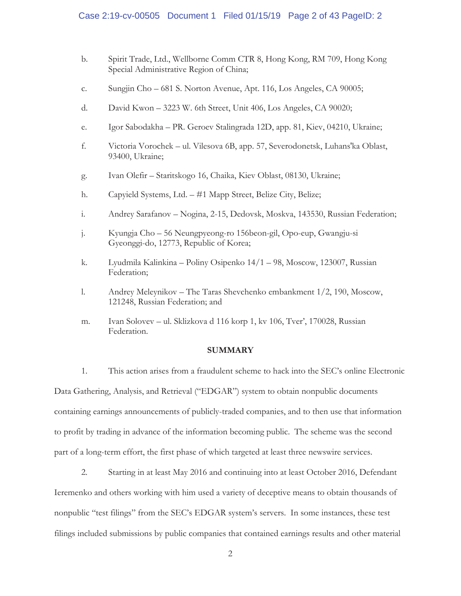# Case 2:19-cv-00505 Document 1 Filed 01/15/19 Page 2 of 43 PageID: 2

- b. Spirit Trade, Ltd., Wellborne Comm CTR 8, Hong Kong, RM 709, Hong Kong Special Administrative Region of China;
- c. Sungjin Cho 681 S. Norton Avenue, Apt. 116, Los Angeles, CA 90005;
- d. David Kwon 3223 W. 6th Street, Unit 406, Los Angeles, CA 90020;
- e. Igor Sabodakha PR. Geroev Stalingrada 12D, app. 81, Kiev, 04210, Ukraine;
- f. Victoria Vorochek ul. Vilesova 6B, app. 57, Severodonetsk, Luhans'ka Oblast, 93400, Ukraine;
- g. Ivan Olefir Staritskogo 16, Chaika, Kiev Oblast, 08130, Ukraine;
- h. Capyield Systems, Ltd. #1 Mapp Street, Belize City, Belize;
- i. Andrey Sarafanov Nogina, 2-15, Dedovsk, Moskva, 143530, Russian Federation;
- j. Kyungja Cho 56 Neungpyeong-ro 156beon-gil, Opo-eup, Gwangju-si Gyeonggi-do, 12773, Republic of Korea;
- k. Lyudmila Kalinkina Poliny Osipenko 14/1 98, Moscow, 123007, Russian Federation;
- l. Andrey Meleynikov The Taras Shevchenko embankment 1/2, 190, Moscow, 121248, Russian Federation; and
- m. Ivan Solovev ul. Sklizkova d 116 korp 1, kv 106, Tver', 170028, Russian Federation.

## **SUMMARY**

1. This action arises from a fraudulent scheme to hack into the SEC's online Electronic Data Gathering, Analysis, and Retrieval ("EDGAR") system to obtain nonpublic documents containing earnings announcements of publicly-traded companies, and to then use that information to profit by trading in advance of the information becoming public. The scheme was the second part of a long-term effort, the first phase of which targeted at least three newswire services.

2. Starting in at least May 2016 and continuing into at least October 2016, Defendant Ieremenko and others working with him used a variety of deceptive means to obtain thousands of nonpublic "test filings" from the SEC's EDGAR system's servers. In some instances, these test filings included submissions by public companies that contained earnings results and other material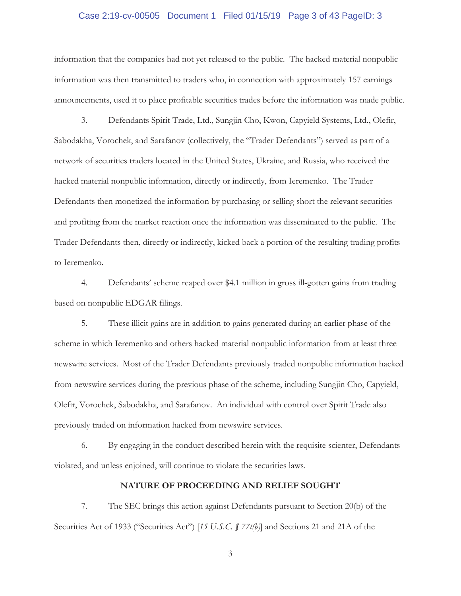## Case 2:19-cv-00505 Document 1 Filed 01/15/19 Page 3 of 43 PageID: 3

information that the companies had not yet released to the public. The hacked material nonpublic information was then transmitted to traders who, in connection with approximately 157 earnings announcements, used it to place profitable securities trades before the information was made public.

3. Defendants Spirit Trade, Ltd., Sungjin Cho, Kwon, Capyield Systems, Ltd., Olefir, Sabodakha, Vorochek, and Sarafanov (collectively, the "Trader Defendants") served as part of a network of securities traders located in the United States, Ukraine, and Russia, who received the hacked material nonpublic information, directly or indirectly, from Ieremenko. The Trader Defendants then monetized the information by purchasing or selling short the relevant securities and profiting from the market reaction once the information was disseminated to the public. The Trader Defendants then, directly or indirectly, kicked back a portion of the resulting trading profits to Ieremenko.

4. Defendants' scheme reaped over \$4.1 million in gross ill-gotten gains from trading based on nonpublic EDGAR filings.

5. These illicit gains are in addition to gains generated during an earlier phase of the scheme in which Ieremenko and others hacked material nonpublic information from at least three newswire services. Most of the Trader Defendants previously traded nonpublic information hacked from newswire services during the previous phase of the scheme, including Sungjin Cho, Capyield, Olefir, Vorochek, Sabodakha, and Sarafanov. An individual with control over Spirit Trade also previously traded on information hacked from newswire services.

6. By engaging in the conduct described herein with the requisite scienter, Defendants violated, and unless enjoined, will continue to violate the securities laws.

# **NATURE OF PROCEEDING AND RELIEF SOUGHT**

7. The SEC brings this action against Defendants pursuant to Section 20(b) of the Securities Act of 1933 ("Securities Act") [*15 U.S.C. § 77t(b)*] and Sections 21 and 21A of the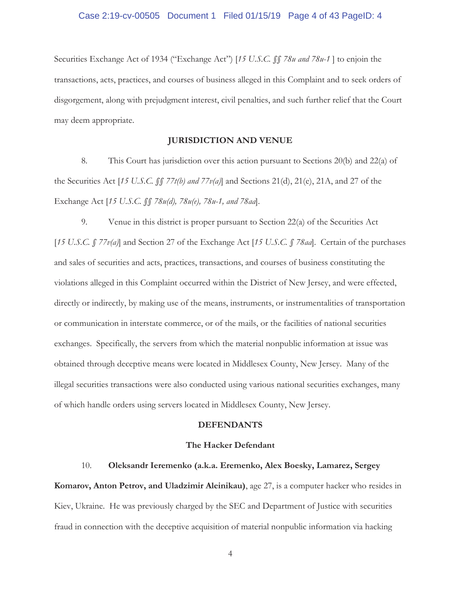## Case 2:19-cv-00505 Document 1 Filed 01/15/19 Page 4 of 43 PageID: 4

Securities Exchange Act of 1934 ("Exchange Act") [*15 U.S.C. §§ 78u and 78u-1* ] to enjoin the transactions, acts, practices, and courses of business alleged in this Complaint and to seek orders of disgorgement, along with prejudgment interest, civil penalties, and such further relief that the Court may deem appropriate.

## **JURISDICTION AND VENUE**

8. This Court has jurisdiction over this action pursuant to Sections 20(b) and 22(a) of the Securities Act [*15 U.S.C. §§ 77t(b) and 77v(a)*] and Sections 21(d), 21(e), 21A, and 27 of the Exchange Act [*15 U.S.C. §§ 78u(d), 78u(e), 78u-1, and 78aa*].

9. Venue in this district is proper pursuant to Section 22(a) of the Securities Act [*15 U.S.C. § 77v(a)*] and Section 27 of the Exchange Act [*15 U.S.C. § 78aa*]. Certain of the purchases and sales of securities and acts, practices, transactions, and courses of business constituting the violations alleged in this Complaint occurred within the District of New Jersey, and were effected, directly or indirectly, by making use of the means, instruments, or instrumentalities of transportation or communication in interstate commerce, or of the mails, or the facilities of national securities exchanges. Specifically, the servers from which the material nonpublic information at issue was obtained through deceptive means were located in Middlesex County, New Jersey. Many of the illegal securities transactions were also conducted using various national securities exchanges, many of which handle orders using servers located in Middlesex County, New Jersey.

#### **DEFENDANTS**

#### **The Hacker Defendant**

## 10. **Oleksandr Ieremenko (a.k.a. Eremenko, Alex Boesky, Lamarez, Sergey**

**Komarov, Anton Petrov, and Uladzimir Aleinikau)**, age 27, is a computer hacker who resides in Kiev, Ukraine. He was previously charged by the SEC and Department of Justice with securities fraud in connection with the deceptive acquisition of material nonpublic information via hacking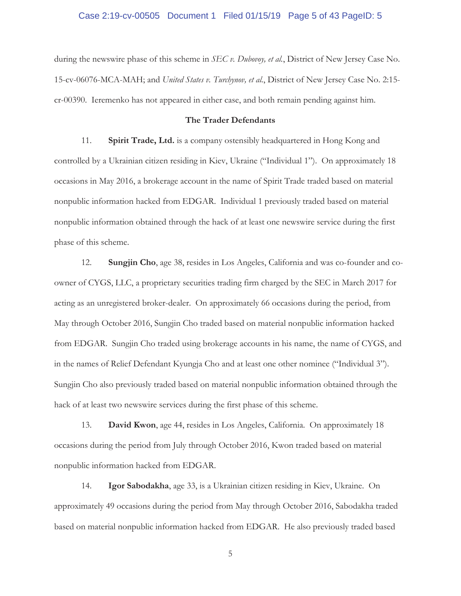## Case 2:19-cv-00505 Document 1 Filed 01/15/19 Page 5 of 43 PageID: 5

during the newswire phase of this scheme in *SEC v. Dubovoy, et al.*, District of New Jersey Case No. 15-cv-06076-MCA-MAH; and *United States v. Turchynov, et al.*, District of New Jersey Case No. 2:15 cr-00390. Ieremenko has not appeared in either case, and both remain pending against him.

## **The Trader Defendants**

11. **Spirit Trade, Ltd.** is a company ostensibly headquartered in Hong Kong and controlled by a Ukrainian citizen residing in Kiev, Ukraine ("Individual 1"). On approximately 18 occasions in May 2016, a brokerage account in the name of Spirit Trade traded based on material nonpublic information hacked from EDGAR. Individual 1 previously traded based on material nonpublic information obtained through the hack of at least one newswire service during the first phase of this scheme.

12. **Sungjin Cho**, age 38, resides in Los Angeles, California and was co-founder and coowner of CYGS, LLC, a proprietary securities trading firm charged by the SEC in March 2017 for acting as an unregistered broker-dealer. On approximately 66 occasions during the period, from May through October 2016, Sungjin Cho traded based on material nonpublic information hacked from EDGAR. Sungjin Cho traded using brokerage accounts in his name, the name of CYGS, and in the names of Relief Defendant Kyungja Cho and at least one other nominee ("Individual 3"). Sungjin Cho also previously traded based on material nonpublic information obtained through the hack of at least two newswire services during the first phase of this scheme.

13. **David Kwon**, age 44, resides in Los Angeles, California. On approximately 18 occasions during the period from July through October 2016, Kwon traded based on material nonpublic information hacked from EDGAR.

14. **Igor Sabodakha**, age 33, is a Ukrainian citizen residing in Kiev, Ukraine. On approximately 49 occasions during the period from May through October 2016, Sabodakha traded based on material nonpublic information hacked from EDGAR. He also previously traded based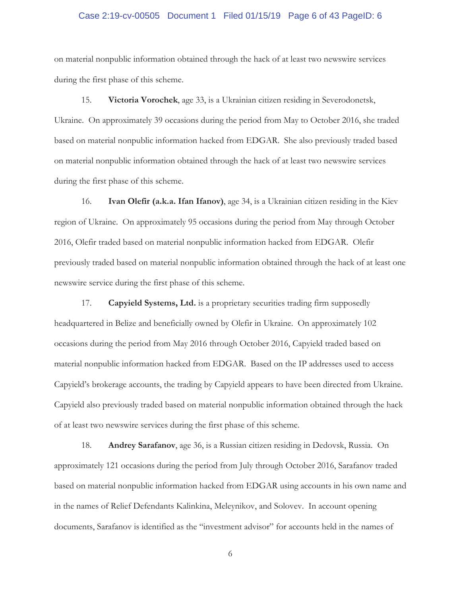## Case 2:19-cv-00505 Document 1 Filed 01/15/19 Page 6 of 43 PageID: 6

on material nonpublic information obtained through the hack of at least two newswire services during the first phase of this scheme.

15. **Victoria Vorochek**, age 33, is a Ukrainian citizen residing in Severodonetsk, Ukraine. On approximately 39 occasions during the period from May to October 2016, she traded based on material nonpublic information hacked from EDGAR. She also previously traded based on material nonpublic information obtained through the hack of at least two newswire services during the first phase of this scheme.

16. **Ivan Olefir (a.k.a. Ifan Ifanov)**, age 34, is a Ukrainian citizen residing in the Kiev region of Ukraine. On approximately 95 occasions during the period from May through October 2016, Olefir traded based on material nonpublic information hacked from EDGAR. Olefir previously traded based on material nonpublic information obtained through the hack of at least one newswire service during the first phase of this scheme.

17. **Capyield Systems, Ltd.** is a proprietary securities trading firm supposedly headquartered in Belize and beneficially owned by Olefir in Ukraine. On approximately 102 occasions during the period from May 2016 through October 2016, Capyield traded based on material nonpublic information hacked from EDGAR. Based on the IP addresses used to access Capyield's brokerage accounts, the trading by Capyield appears to have been directed from Ukraine. Capyield also previously traded based on material nonpublic information obtained through the hack of at least two newswire services during the first phase of this scheme.

18. **Andrey Sarafanov**, age 36, is a Russian citizen residing in Dedovsk, Russia. On approximately 121 occasions during the period from July through October 2016, Sarafanov traded based on material nonpublic information hacked from EDGAR using accounts in his own name and in the names of Relief Defendants Kalinkina, Meleynikov, and Solovev. In account opening documents, Sarafanov is identified as the "investment advisor" for accounts held in the names of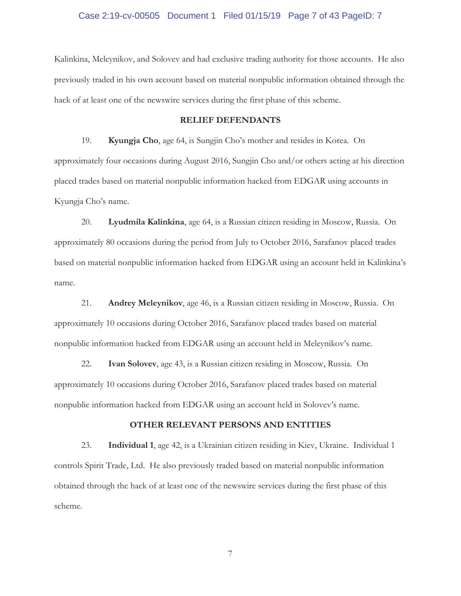# Case 2:19-cv-00505 Document 1 Filed 01/15/19 Page 7 of 43 PageID: 7

Kalinkina, Meleynikov, and Solovev and had exclusive trading authority for those accounts. He also previously traded in his own account based on material nonpublic information obtained through the hack of at least one of the newswire services during the first phase of this scheme.

#### **RELIEF DEFENDANTS**

19. **Kyungja Cho**, age 64, is Sungjin Cho's mother and resides in Korea. On approximately four occasions during August 2016, Sungjin Cho and/or others acting at his direction placed trades based on material nonpublic information hacked from EDGAR using accounts in Kyungja Cho's name.

20. **Lyudmila Kalinkina**, age 64, is a Russian citizen residing in Moscow, Russia. On approximately 80 occasions during the period from July to October 2016, Sarafanov placed trades based on material nonpublic information hacked from EDGAR using an account held in Kalinkina's name.

21. **Andrey Meleynikov**, age 46, is a Russian citizen residing in Moscow, Russia. On approximately 10 occasions during October 2016, Sarafanov placed trades based on material nonpublic information hacked from EDGAR using an account held in Meleynikov's name.

22. **Ivan Solovev**, age 43, is a Russian citizen residing in Moscow, Russia. On approximately 10 occasions during October 2016, Sarafanov placed trades based on material nonpublic information hacked from EDGAR using an account held in Solovev's name.

#### **OTHER RELEVANT PERSONS AND ENTITIES**

23. **Individual 1**, age 42, is a Ukrainian citizen residing in Kiev, Ukraine. Individual 1 controls Spirit Trade, Ltd. He also previously traded based on material nonpublic information obtained through the hack of at least one of the newswire services during the first phase of this scheme.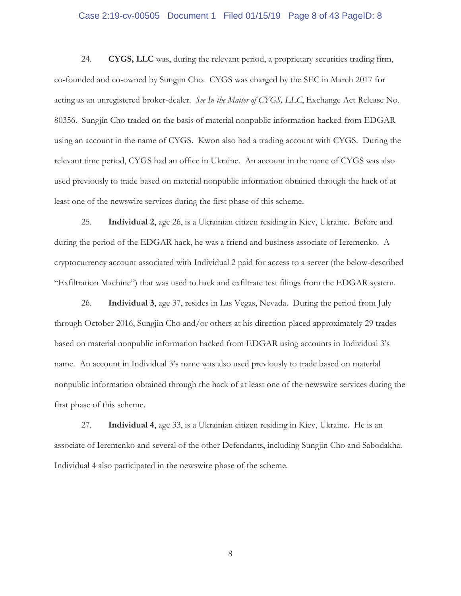## Case 2:19-cv-00505 Document 1 Filed 01/15/19 Page 8 of 43 PageID: 8

24. **CYGS, LLC** was, during the relevant period, a proprietary securities trading firm, co-founded and co-owned by Sungjin Cho. CYGS was charged by the SEC in March 2017 for acting as an unregistered broker-dealer. *See In the Matter of CYGS, LLC*, Exchange Act Release No. 80356. Sungjin Cho traded on the basis of material nonpublic information hacked from EDGAR using an account in the name of CYGS. Kwon also had a trading account with CYGS. During the relevant time period, CYGS had an office in Ukraine. An account in the name of CYGS was also used previously to trade based on material nonpublic information obtained through the hack of at least one of the newswire services during the first phase of this scheme.

25. **Individual 2**, age 26, is a Ukrainian citizen residing in Kiev, Ukraine. Before and during the period of the EDGAR hack, he was a friend and business associate of Ieremenko. A cryptocurrency account associated with Individual 2 paid for access to a server (the below-described "Exfiltration Machine") that was used to hack and exfiltrate test filings from the EDGAR system.

26. **Individual 3**, age 37, resides in Las Vegas, Nevada. During the period from July through October 2016, Sungjin Cho and/or others at his direction placed approximately 29 trades based on material nonpublic information hacked from EDGAR using accounts in Individual 3's name. An account in Individual 3's name was also used previously to trade based on material nonpublic information obtained through the hack of at least one of the newswire services during the first phase of this scheme.

27. **Individual 4**, age 33, is a Ukrainian citizen residing in Kiev, Ukraine. He is an associate of Ieremenko and several of the other Defendants, including Sungjin Cho and Sabodakha. Individual 4 also participated in the newswire phase of the scheme.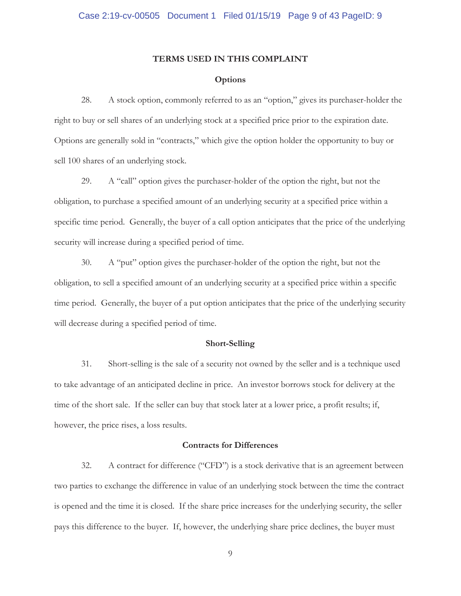#### **TERMS USED IN THIS COMPLAINT**

#### **Options**

28. A stock option, commonly referred to as an "option," gives its purchaser-holder the right to buy or sell shares of an underlying stock at a specified price prior to the expiration date. Options are generally sold in "contracts," which give the option holder the opportunity to buy or sell 100 shares of an underlying stock.

29. A "call" option gives the purchaser-holder of the option the right, but not the obligation, to purchase a specified amount of an underlying security at a specified price within a specific time period. Generally, the buyer of a call option anticipates that the price of the underlying security will increase during a specified period of time.

30. A "put" option gives the purchaser-holder of the option the right, but not the obligation, to sell a specified amount of an underlying security at a specified price within a specific time period. Generally, the buyer of a put option anticipates that the price of the underlying security will decrease during a specified period of time.

#### **Short-Selling**

31. Short-selling is the sale of a security not owned by the seller and is a technique used to take advantage of an anticipated decline in price. An investor borrows stock for delivery at the time of the short sale. If the seller can buy that stock later at a lower price, a profit results; if, however, the price rises, a loss results.

#### **Contracts for Differences**

32. A contract for difference ("CFD") is a stock derivative that is an agreement between two parties to exchange the difference in value of an underlying stock between the time the contract is opened and the time it is closed. If the share price increases for the underlying security, the seller pays this difference to the buyer. If, however, the underlying share price declines, the buyer must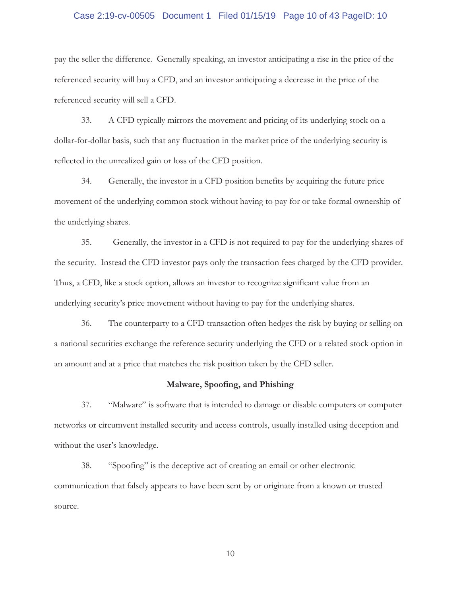## Case 2:19-cv-00505 Document 1 Filed 01/15/19 Page 10 of 43 PageID: 10

pay the seller the difference. Generally speaking, an investor anticipating a rise in the price of the referenced security will buy a CFD, and an investor anticipating a decrease in the price of the referenced security will sell a CFD.

33. A CFD typically mirrors the movement and pricing of its underlying stock on a dollar-for-dollar basis, such that any fluctuation in the market price of the underlying security is reflected in the unrealized gain or loss of the CFD position.

34. Generally, the investor in a CFD position benefits by acquiring the future price movement of the underlying common stock without having to pay for or take formal ownership of the underlying shares.

35. Generally, the investor in a CFD is not required to pay for the underlying shares of the security. Instead the CFD investor pays only the transaction fees charged by the CFD provider. Thus, a CFD, like a stock option, allows an investor to recognize significant value from an underlying security's price movement without having to pay for the underlying shares.

36. The counterparty to a CFD transaction often hedges the risk by buying or selling on a national securities exchange the reference security underlying the CFD or a related stock option in an amount and at a price that matches the risk position taken by the CFD seller.

## **Malware, Spoofing, and Phishing**

37. "Malware" is software that is intended to damage or disable computers or computer networks or circumvent installed security and access controls, usually installed using deception and without the user's knowledge.

38. "Spoofing" is the deceptive act of creating an email or other electronic communication that falsely appears to have been sent by or originate from a known or trusted source.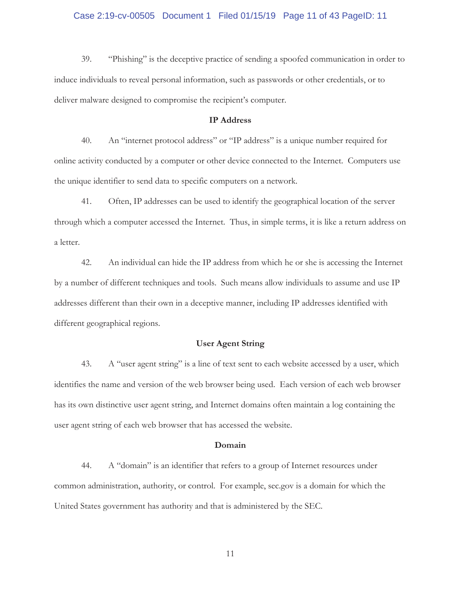## Case 2:19-cv-00505 Document 1 Filed 01/15/19 Page 11 of 43 PageID: 11

39. "Phishing" is the deceptive practice of sending a spoofed communication in order to induce individuals to reveal personal information, such as passwords or other credentials, or to deliver malware designed to compromise the recipient's computer.

# **IP Address**

40. An "internet protocol address" or "IP address" is a unique number required for online activity conducted by a computer or other device connected to the Internet. Computers use the unique identifier to send data to specific computers on a network.

41. Often, IP addresses can be used to identify the geographical location of the server through which a computer accessed the Internet. Thus, in simple terms, it is like a return address on a letter.

42. An individual can hide the IP address from which he or she is accessing the Internet by a number of different techniques and tools. Such means allow individuals to assume and use IP addresses different than their own in a deceptive manner, including IP addresses identified with different geographical regions.

# **User Agent String**

43. A "user agent string" is a line of text sent to each website accessed by a user, which identifies the name and version of the web browser being used. Each version of each web browser has its own distinctive user agent string, and Internet domains often maintain a log containing the user agent string of each web browser that has accessed the website.

#### **Domain**

44. A "domain" is an identifier that refers to a group of Internet resources under common administration, authority, or control. For example, sec.gov is a domain for which the United States government has authority and that is administered by the SEC.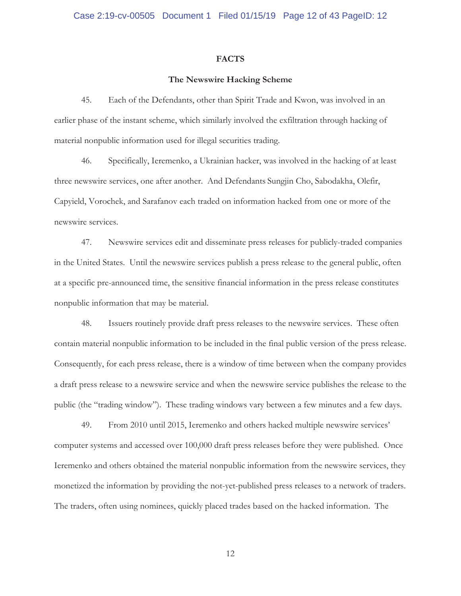#### **FACTS**

#### **The Newswire Hacking Scheme**

45. Each of the Defendants, other than Spirit Trade and Kwon, was involved in an earlier phase of the instant scheme, which similarly involved the exfiltration through hacking of material nonpublic information used for illegal securities trading.

46. Specifically, Ieremenko, a Ukrainian hacker, was involved in the hacking of at least three newswire services, one after another. And Defendants Sungjin Cho, Sabodakha, Olefir, Capyield, Vorochek, and Sarafanov each traded on information hacked from one or more of the newswire services.

47. Newswire services edit and disseminate press releases for publicly-traded companies in the United States. Until the newswire services publish a press release to the general public, often at a specific pre-announced time, the sensitive financial information in the press release constitutes nonpublic information that may be material.

48. Issuers routinely provide draft press releases to the newswire services. These often contain material nonpublic information to be included in the final public version of the press release. Consequently, for each press release, there is a window of time between when the company provides a draft press release to a newswire service and when the newswire service publishes the release to the public (the "trading window"). These trading windows vary between a few minutes and a few days.

49. From 2010 until 2015, Ieremenko and others hacked multiple newswire services' computer systems and accessed over 100,000 draft press releases before they were published. Once Ieremenko and others obtained the material nonpublic information from the newswire services, they monetized the information by providing the not-yet-published press releases to a network of traders. The traders, often using nominees, quickly placed trades based on the hacked information. The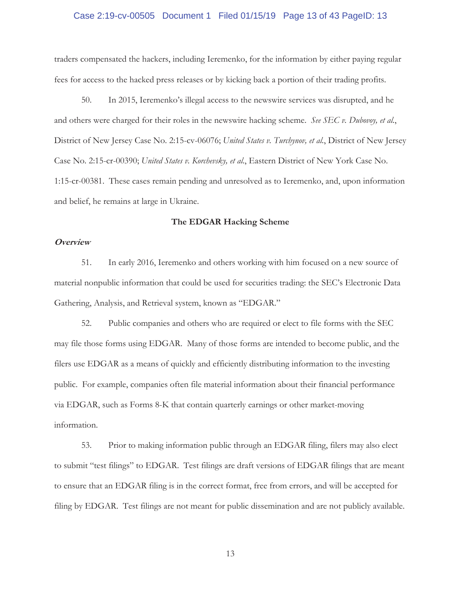## Case 2:19-cv-00505 Document 1 Filed 01/15/19 Page 13 of 43 PageID: 13

traders compensated the hackers, including Ieremenko, for the information by either paying regular fees for access to the hacked press releases or by kicking back a portion of their trading profits.

50. In 2015, Ieremenko's illegal access to the newswire services was disrupted, and he and others were charged for their roles in the newswire hacking scheme. *See SEC v. Dubovoy, et al.*, District of New Jersey Case No. 2:15-cv-06076; *United States v. Turchynov, et al.*, District of New Jersey Case No. 2:15-cr-00390; *United States v. Korchevsky, et al.*, Eastern District of New York Case No. 1:15-cr-00381. These cases remain pending and unresolved as to Ieremenko, and, upon information and belief, he remains at large in Ukraine.

## **The EDGAR Hacking Scheme**

#### **Overview**

51. In early 2016, Ieremenko and others working with him focused on a new source of material nonpublic information that could be used for securities trading: the SEC's Electronic Data Gathering, Analysis, and Retrieval system, known as "EDGAR."

52. Public companies and others who are required or elect to file forms with the SEC may file those forms using EDGAR. Many of those forms are intended to become public, and the filers use EDGAR as a means of quickly and efficiently distributing information to the investing public. For example, companies often file material information about their financial performance via EDGAR, such as Forms 8-K that contain quarterly earnings or other market-moving information.

53. Prior to making information public through an EDGAR filing, filers may also elect to submit "test filings" to EDGAR. Test filings are draft versions of EDGAR filings that are meant to ensure that an EDGAR filing is in the correct format, free from errors, and will be accepted for filing by EDGAR. Test filings are not meant for public dissemination and are not publicly available.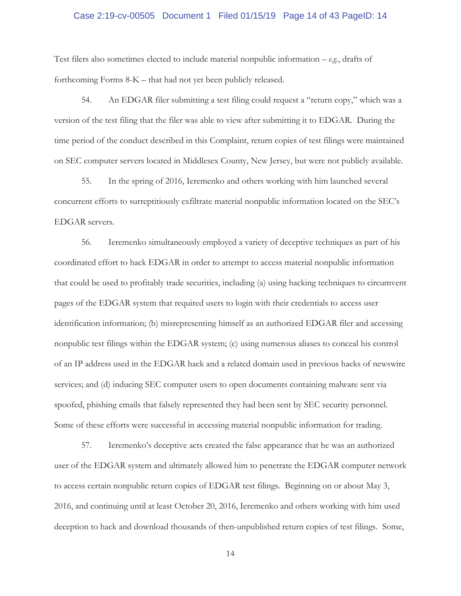## Case 2:19-cv-00505 Document 1 Filed 01/15/19 Page 14 of 43 PageID: 14

Test filers also sometimes elected to include material nonpublic information – *e.g.*, drafts of forthcoming Forms 8-K – that had not yet been publicly released.

54. An EDGAR filer submitting a test filing could request a "return copy," which was a version of the test filing that the filer was able to view after submitting it to EDGAR. During the time period of the conduct described in this Complaint, return copies of test filings were maintained on SEC computer servers located in Middlesex County, New Jersey, but were not publicly available.

55. In the spring of 2016, Ieremenko and others working with him launched several concurrent efforts to surreptitiously exfiltrate material nonpublic information located on the SEC's EDGAR servers.

56. Ieremenko simultaneously employed a variety of deceptive techniques as part of his coordinated effort to hack EDGAR in order to attempt to access material nonpublic information that could be used to profitably trade securities, including (a) using hacking techniques to circumvent pages of the EDGAR system that required users to login with their credentials to access user identification information; (b) misrepresenting himself as an authorized EDGAR filer and accessing nonpublic test filings within the EDGAR system; (c) using numerous aliases to conceal his control of an IP address used in the EDGAR hack and a related domain used in previous hacks of newswire services; and (d) inducing SEC computer users to open documents containing malware sent via spoofed, phishing emails that falsely represented they had been sent by SEC security personnel. Some of these efforts were successful in accessing material nonpublic information for trading.

57. Ieremenko's deceptive acts created the false appearance that he was an authorized user of the EDGAR system and ultimately allowed him to penetrate the EDGAR computer network to access certain nonpublic return copies of EDGAR test filings. Beginning on or about May 3, 2016, and continuing until at least October 20, 2016, Ieremenko and others working with him used deception to hack and download thousands of then-unpublished return copies of test filings. Some,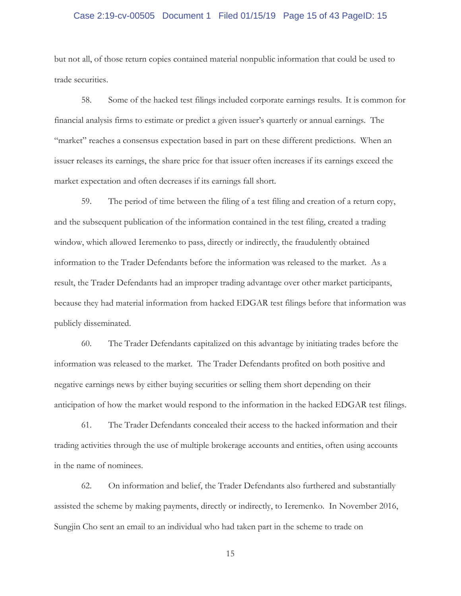## Case 2:19-cv-00505 Document 1 Filed 01/15/19 Page 15 of 43 PageID: 15

but not all, of those return copies contained material nonpublic information that could be used to trade securities.

58. Some of the hacked test filings included corporate earnings results.It is common for financial analysis firms to estimate or predict a given issuer's quarterly or annual earnings. The "market" reaches a consensus expectation based in part on these different predictions. When an issuer releases its earnings, the share price for that issuer often increases if its earnings exceed the market expectation and often decreases if its earnings fall short.

59. The period of time between the filing of a test filing and creation of a return copy, and the subsequent publication of the information contained in the test filing, created a trading window, which allowed Ieremenko to pass, directly or indirectly, the fraudulently obtained information to the Trader Defendants before the information was released to the market. As a result, the Trader Defendants had an improper trading advantage over other market participants, because they had material information from hacked EDGAR test filings before that information was publicly disseminated.

60. The Trader Defendants capitalized on this advantage by initiating trades before the information was released to the market. The Trader Defendants profited on both positive and negative earnings news by either buying securities or selling them short depending on their anticipation of how the market would respond to the information in the hacked EDGAR test filings.

61. The Trader Defendants concealed their access to the hacked information and their trading activities through the use of multiple brokerage accounts and entities, often using accounts in the name of nominees.

62. On information and belief, the Trader Defendants also furthered and substantially assisted the scheme by making payments, directly or indirectly, to Ieremenko. In November 2016, Sungjin Cho sent an email to an individual who had taken part in the scheme to trade on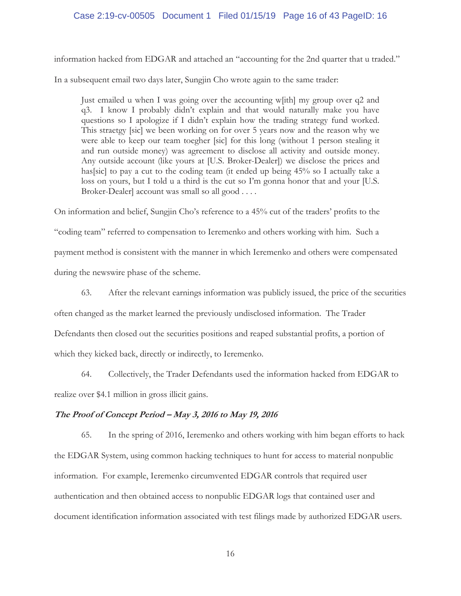## Case 2:19-cv-00505 Document 1 Filed 01/15/19 Page 16 of 43 PageID: 16

information hacked from EDGAR and attached an "accounting for the 2nd quarter that u traded."

In a subsequent email two days later, Sungjin Cho wrote again to the same trader:

Just emailed u when I was going over the accounting w[ith] my group over q2 and q3. I know I probably didn't explain and that would naturally make you have questions so I apologize if I didn't explain how the trading strategy fund worked. This straetgy [sic] we been working on for over 5 years now and the reason why we were able to keep our team toegher [sic] for this long (without 1 person stealing it and run outside money) was agreement to disclose all activity and outside money. Any outside account (like yours at [U.S. Broker-Dealer]) we disclose the prices and has[sic] to pay a cut to the coding team (it ended up being 45% so I actually take a loss on yours, but I told u a third is the cut so I'm gonna honor that and your [U.S. Broker-Dealer] account was small so all good . . . .

On information and belief, Sungjin Cho's reference to a 45% cut of the traders' profits to the "coding team" referred to compensation to Ieremenko and others working with him. Such a payment method is consistent with the manner in which Ieremenko and others were compensated during the newswire phase of the scheme.

63. After the relevant earnings information was publicly issued, the price of the securities often changed as the market learned the previously undisclosed information. The Trader Defendants then closed out the securities positions and reaped substantial profits, a portion of which they kicked back, directly or indirectly, to Ieremenko.

64. Collectively, the Trader Defendants used the information hacked from EDGAR to realize over \$4.1 million in gross illicit gains.

## **The Proof of Concept Period – May 3, 2016 to May 19, 2016**

65. In the spring of 2016, Ieremenko and others working with him began efforts to hack the EDGAR System, using common hacking techniques to hunt for access to material nonpublic information. For example, Ieremenko circumvented EDGAR controls that required user authentication and then obtained access to nonpublic EDGAR logs that contained user and document identification information associated with test filings made by authorized EDGAR users.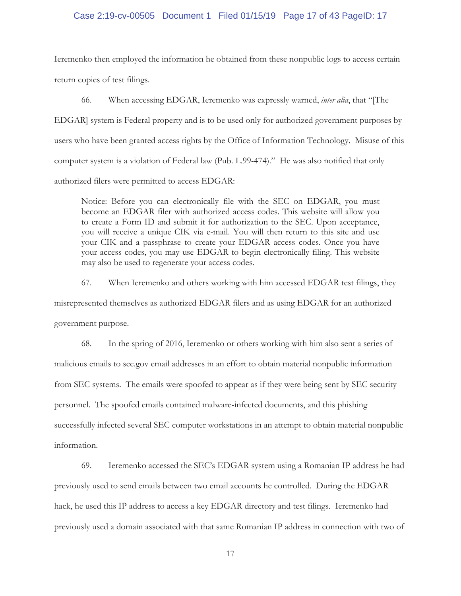## Case 2:19-cv-00505 Document 1 Filed 01/15/19 Page 17 of 43 PageID: 17

Ieremenko then employed the information he obtained from these nonpublic logs to access certain return copies of test filings.

66. When accessing EDGAR, Ieremenko was expressly warned, *inter alia*, that "[The EDGAR] system is Federal property and is to be used only for authorized government purposes by users who have been granted access rights by the Office of Information Technology. Misuse of this computer system is a violation of Federal law (Pub. L.99-474)." He was also notified that only authorized filers were permitted to access EDGAR:

Notice: Before you can electronically file with the SEC on EDGAR, you must become an EDGAR filer with authorized access codes. This website will allow you to create a Form ID and submit it for authorization to the SEC. Upon acceptance, you will receive a unique CIK via e-mail. You will then return to this site and use your CIK and a passphrase to create your EDGAR access codes. Once you have your access codes, you may use EDGAR to begin electronically filing. This website may also be used to regenerate your access codes.

67. When Ieremenko and others working with him accessed EDGAR test filings, they misrepresented themselves as authorized EDGAR filers and as using EDGAR for an authorized government purpose.

68. In the spring of 2016, Ieremenko or others working with him also sent a series of malicious emails to sec.gov email addresses in an effort to obtain material nonpublic information from SEC systems. The emails were spoofed to appear as if they were being sent by SEC security personnel. The spoofed emails contained malware-infected documents, and this phishing successfully infected several SEC computer workstations in an attempt to obtain material nonpublic information.

69. Ieremenko accessed the SEC's EDGAR system using a Romanian IP address he had previously used to send emails between two email accounts he controlled. During the EDGAR hack, he used this IP address to access a key EDGAR directory and test filings. Ieremenko had previously used a domain associated with that same Romanian IP address in connection with two of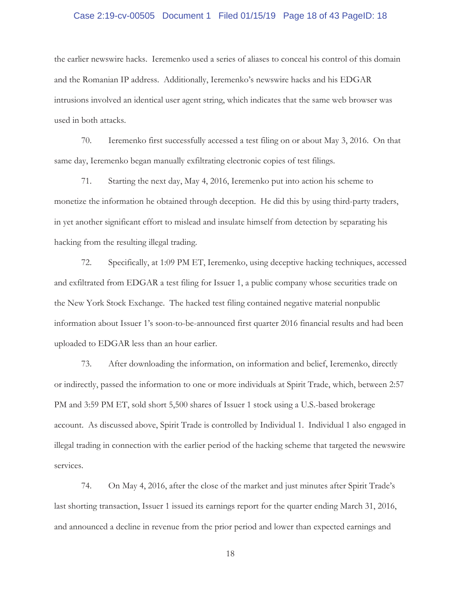## Case 2:19-cv-00505 Document 1 Filed 01/15/19 Page 18 of 43 PageID: 18

the earlier newswire hacks. Ieremenko used a series of aliases to conceal his control of this domain and the Romanian IP address. Additionally, Ieremenko's newswire hacks and his EDGAR intrusions involved an identical user agent string, which indicates that the same web browser was used in both attacks.

70. Ieremenko first successfully accessed a test filing on or about May 3, 2016. On that same day, Ieremenko began manually exfiltrating electronic copies of test filings.

71. Starting the next day, May 4, 2016, Ieremenko put into action his scheme to monetize the information he obtained through deception. He did this by using third-party traders, in yet another significant effort to mislead and insulate himself from detection by separating his hacking from the resulting illegal trading.

72. Specifically, at 1:09 PM ET, Ieremenko, using deceptive hacking techniques, accessed and exfiltrated from EDGAR a test filing for Issuer 1, a public company whose securities trade on the New York Stock Exchange. The hacked test filing contained negative material nonpublic information about Issuer 1's soon-to-be-announced first quarter 2016 financial results and had been uploaded to EDGAR less than an hour earlier.

73. After downloading the information, on information and belief, Ieremenko, directly or indirectly, passed the information to one or more individuals at Spirit Trade, which, between 2:57 PM and 3:59 PM ET, sold short 5,500 shares of Issuer 1 stock using a U.S.-based brokerage account. As discussed above, Spirit Trade is controlled by Individual 1. Individual 1 also engaged in illegal trading in connection with the earlier period of the hacking scheme that targeted the newswire services.

74. On May 4, 2016, after the close of the market and just minutes after Spirit Trade's last shorting transaction, Issuer 1 issued its earnings report for the quarter ending March 31, 2016, and announced a decline in revenue from the prior period and lower than expected earnings and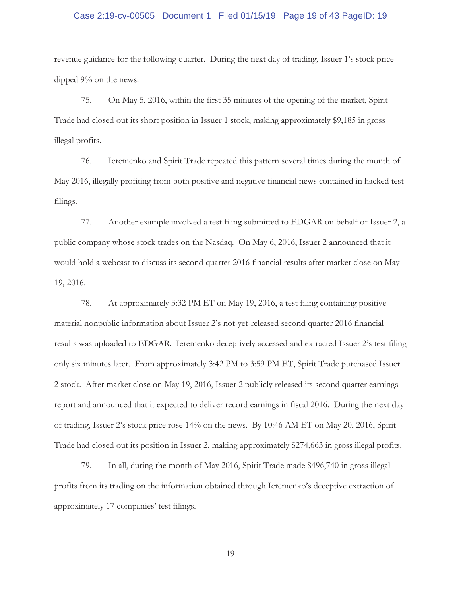## Case 2:19-cv-00505 Document 1 Filed 01/15/19 Page 19 of 43 PageID: 19

revenue guidance for the following quarter. During the next day of trading, Issuer 1's stock price dipped 9% on the news.

75. On May 5, 2016, within the first 35 minutes of the opening of the market, Spirit Trade had closed out its short position in Issuer 1 stock, making approximately \$9,185 in gross illegal profits.

76. Ieremenko and Spirit Trade repeated this pattern several times during the month of May 2016, illegally profiting from both positive and negative financial news contained in hacked test filings.

77. Another example involved a test filing submitted to EDGAR on behalf of Issuer 2, a public company whose stock trades on the Nasdaq. On May 6, 2016, Issuer 2 announced that it would hold a webcast to discuss its second quarter 2016 financial results after market close on May 19, 2016.

78. At approximately 3:32 PM ET on May 19, 2016, a test filing containing positive material nonpublic information about Issuer 2's not-yet-released second quarter 2016 financial results was uploaded to EDGAR. Ieremenko deceptively accessed and extracted Issuer 2's test filing only six minutes later. From approximately 3:42 PM to 3:59 PM ET, Spirit Trade purchased Issuer 2 stock. After market close on May 19, 2016, Issuer 2 publicly released its second quarter earnings report and announced that it expected to deliver record earnings in fiscal 2016. During the next day of trading, Issuer 2's stock price rose 14% on the news. By 10:46 AM ET on May 20, 2016, Spirit Trade had closed out its position in Issuer 2, making approximately \$274,663 in gross illegal profits.

79. In all, during the month of May 2016, Spirit Trade made \$496,740 in gross illegal profits from its trading on the information obtained through Ieremenko's deceptive extraction of approximately 17 companies' test filings.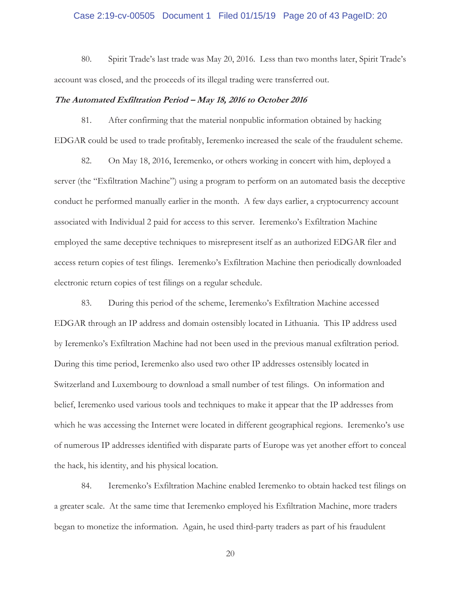## Case 2:19-cv-00505 Document 1 Filed 01/15/19 Page 20 of 43 PageID: 20

80. Spirit Trade's last trade was May 20, 2016. Less than two months later, Spirit Trade's account was closed, and the proceeds of its illegal trading were transferred out.

#### **The Automated Exfiltration Period – May 18, 2016 to October 2016**

81. After confirming that the material nonpublic information obtained by hacking EDGAR could be used to trade profitably, Ieremenko increased the scale of the fraudulent scheme.

82. On May 18, 2016, Ieremenko, or others working in concert with him, deployed a server (the "Exfiltration Machine") using a program to perform on an automated basis the deceptive conduct he performed manually earlier in the month. A few days earlier, a cryptocurrency account associated with Individual 2 paid for access to this server. Ieremenko's Exfiltration Machine employed the same deceptive techniques to misrepresent itself as an authorized EDGAR filer and access return copies of test filings. Ieremenko's Exfiltration Machine then periodically downloaded electronic return copies of test filings on a regular schedule.

83. During this period of the scheme, Ieremenko's Exfiltration Machine accessed EDGAR through an IP address and domain ostensibly located in Lithuania. This IP address used by Ieremenko's Exfiltration Machine had not been used in the previous manual exfiltration period. During this time period, Ieremenko also used two other IP addresses ostensibly located in Switzerland and Luxembourg to download a small number of test filings. On information and belief, Ieremenko used various tools and techniques to make it appear that the IP addresses from which he was accessing the Internet were located in different geographical regions. Ieremenko's use of numerous IP addresses identified with disparate parts of Europe was yet another effort to conceal the hack, his identity, and his physical location.

84. Ieremenko's Exfiltration Machine enabled Ieremenko to obtain hacked test filings on a greater scale. At the same time that Ieremenko employed his Exfiltration Machine, more traders began to monetize the information. Again, he used third-party traders as part of his fraudulent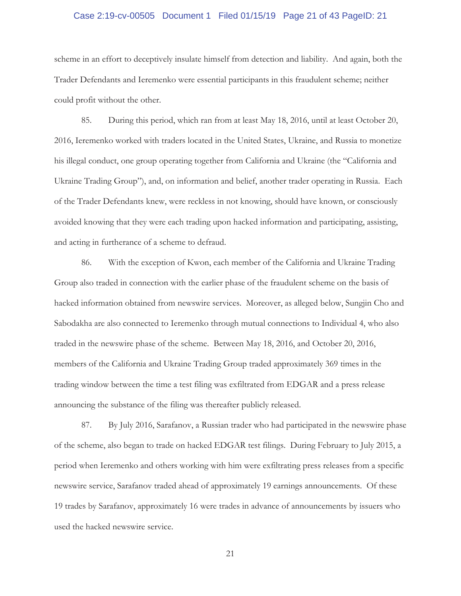## Case 2:19-cv-00505 Document 1 Filed 01/15/19 Page 21 of 43 PageID: 21

scheme in an effort to deceptively insulate himself from detection and liability. And again, both the Trader Defendants and Ieremenko were essential participants in this fraudulent scheme; neither could profit without the other.

85. During this period, which ran from at least May 18, 2016, until at least October 20, 2016, Ieremenko worked with traders located in the United States, Ukraine, and Russia to monetize his illegal conduct, one group operating together from California and Ukraine (the "California and Ukraine Trading Group"), and, on information and belief, another trader operating in Russia. Each of the Trader Defendants knew, were reckless in not knowing, should have known, or consciously avoided knowing that they were each trading upon hacked information and participating, assisting, and acting in furtherance of a scheme to defraud.

86. With the exception of Kwon, each member of the California and Ukraine Trading Group also traded in connection with the earlier phase of the fraudulent scheme on the basis of hacked information obtained from newswire services. Moreover, as alleged below, Sungjin Cho and Sabodakha are also connected to Ieremenko through mutual connections to Individual 4, who also traded in the newswire phase of the scheme. Between May 18, 2016, and October 20, 2016, members of the California and Ukraine Trading Group traded approximately 369 times in the trading window between the time a test filing was exfiltrated from EDGAR and a press release announcing the substance of the filing was thereafter publicly released.

87. By July 2016, Sarafanov, a Russian trader who had participated in the newswire phase of the scheme, also began to trade on hacked EDGAR test filings. During February to July 2015, a period when Ieremenko and others working with him were exfiltrating press releases from a specific newswire service, Sarafanov traded ahead of approximately 19 earnings announcements. Of these 19 trades by Sarafanov, approximately 16 were trades in advance of announcements by issuers who used the hacked newswire service.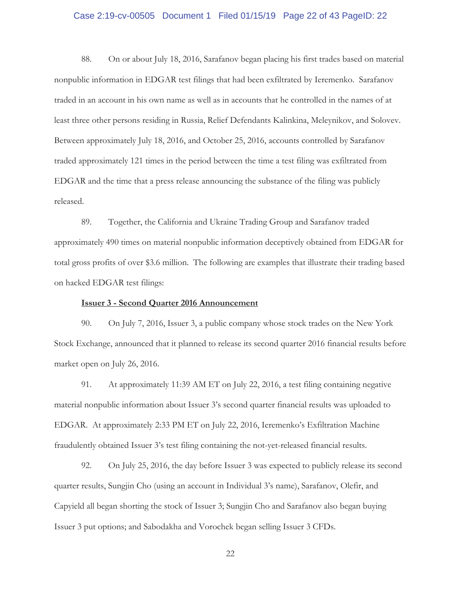## Case 2:19-cv-00505 Document 1 Filed 01/15/19 Page 22 of 43 PageID: 22

88. On or about July 18, 2016, Sarafanov began placing his first trades based on material nonpublic information in EDGAR test filings that had been exfiltrated by Ieremenko. Sarafanov traded in an account in his own name as well as in accounts that he controlled in the names of at least three other persons residing in Russia, Relief Defendants Kalinkina, Meleynikov, and Solovev. Between approximately July 18, 2016, and October 25, 2016, accounts controlled by Sarafanov traded approximately 121 times in the period between the time a test filing was exfiltrated from EDGAR and the time that a press release announcing the substance of the filing was publicly released.

89. Together, the California and Ukraine Trading Group and Sarafanov traded approximately 490 times on material nonpublic information deceptively obtained from EDGAR for total gross profits of over \$3.6 million. The following are examples that illustrate their trading based on hacked EDGAR test filings:

#### **Issuer 3 - Second Quarter 2016 Announcement**

90. On July 7, 2016, Issuer 3, a public company whose stock trades on the New York Stock Exchange, announced that it planned to release its second quarter 2016 financial results before market open on July 26, 2016.

91. At approximately 11:39 AM ET on July 22, 2016, a test filing containing negative material nonpublic information about Issuer 3's second quarter financial results was uploaded to EDGAR. At approximately 2:33 PM ET on July 22, 2016, Ieremenko's Exfiltration Machine fraudulently obtained Issuer 3's test filing containing the not-yet-released financial results.

92. On July 25, 2016, the day before Issuer 3 was expected to publicly release its second quarter results, Sungjin Cho (using an account in Individual 3's name), Sarafanov, Olefir, and Capyield all began shorting the stock of Issuer 3; Sungjin Cho and Sarafanov also began buying Issuer 3 put options; and Sabodakha and Vorochek began selling Issuer 3 CFDs.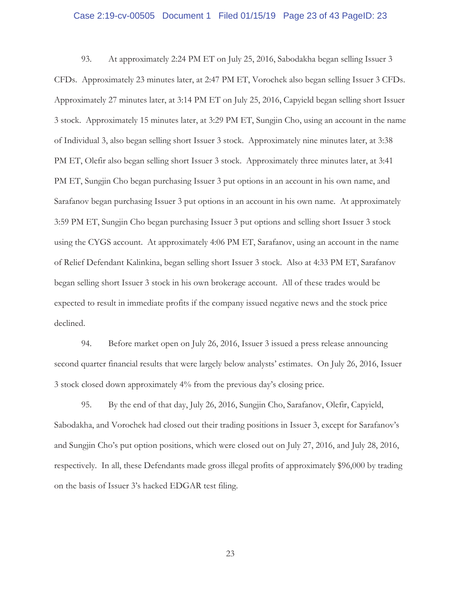## Case 2:19-cv-00505 Document 1 Filed 01/15/19 Page 23 of 43 PageID: 23

93. At approximately 2:24 PM ET on July 25, 2016, Sabodakha began selling Issuer 3 CFDs. Approximately 23 minutes later, at 2:47 PM ET, Vorochek also began selling Issuer 3 CFDs. Approximately 27 minutes later, at 3:14 PM ET on July 25, 2016, Capyield began selling short Issuer 3 stock. Approximately 15 minutes later, at 3:29 PM ET, Sungjin Cho, using an account in the name of Individual 3, also began selling short Issuer 3 stock. Approximately nine minutes later, at 3:38 PM ET, Olefir also began selling short Issuer 3 stock. Approximately three minutes later, at 3:41 PM ET, Sungjin Cho began purchasing Issuer 3 put options in an account in his own name, and Sarafanov began purchasing Issuer 3 put options in an account in his own name. At approximately 3:59 PM ET, Sungjin Cho began purchasing Issuer 3 put options and selling short Issuer 3 stock using the CYGS account. At approximately 4:06 PM ET, Sarafanov, using an account in the name of Relief Defendant Kalinkina, began selling short Issuer 3 stock. Also at 4:33 PM ET, Sarafanov began selling short Issuer 3 stock in his own brokerage account. All of these trades would be expected to result in immediate profits if the company issued negative news and the stock price declined.

94. Before market open on July 26, 2016, Issuer 3 issued a press release announcing second quarter financial results that were largely below analysts' estimates. On July 26, 2016, Issuer 3 stock closed down approximately 4% from the previous day's closing price.

95. By the end of that day, July 26, 2016, Sungjin Cho, Sarafanov, Olefir, Capyield, Sabodakha, and Vorochek had closed out their trading positions in Issuer 3, except for Sarafanov's and Sungjin Cho's put option positions, which were closed out on July 27, 2016, and July 28, 2016, respectively. In all, these Defendants made gross illegal profits of approximately \$96,000 by trading on the basis of Issuer 3's hacked EDGAR test filing.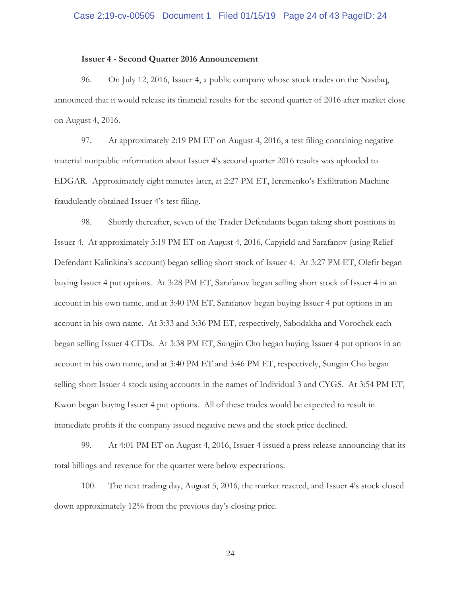## **Issuer 4 - Second Quarter 2016 Announcement**

96. On July 12, 2016, Issuer 4, a public company whose stock trades on the Nasdaq, announced that it would release its financial results for the second quarter of 2016 after market close on August 4, 2016.

97. At approximately 2:19 PM ET on August 4, 2016, a test filing containing negative material nonpublic information about Issuer 4's second quarter 2016 results was uploaded to EDGAR. Approximately eight minutes later, at 2:27 PM ET, Ieremenko's Exfiltration Machine fraudulently obtained Issuer 4's test filing.

98. Shortly thereafter, seven of the Trader Defendants began taking short positions in Issuer 4. At approximately 3:19 PM ET on August 4, 2016, Capyield and Sarafanov (using Relief Defendant Kalinkina's account) began selling short stock of Issuer 4. At 3:27 PM ET, Olefir began buying Issuer 4 put options. At 3:28 PM ET, Sarafanov began selling short stock of Issuer 4 in an account in his own name, and at 3:40 PM ET, Sarafanov began buying Issuer 4 put options in an account in his own name. At 3:33 and 3:36 PM ET, respectively, Sabodakha and Vorochek each began selling Issuer 4 CFDs. At 3:38 PM ET, Sungjin Cho began buying Issuer 4 put options in an account in his own name, and at 3:40 PM ET and 3:46 PM ET, respectively, Sungjin Cho began selling short Issuer 4 stock using accounts in the names of Individual 3 and CYGS. At 3:54 PM ET, Kwon began buying Issuer 4 put options. All of these trades would be expected to result in immediate profits if the company issued negative news and the stock price declined.

99. At 4:01 PM ET on August 4, 2016, Issuer 4 issued a press release announcing that its total billings and revenue for the quarter were below expectations.

100. The next trading day, August 5, 2016, the market reacted, and Issuer 4's stock closed down approximately 12% from the previous day's closing price.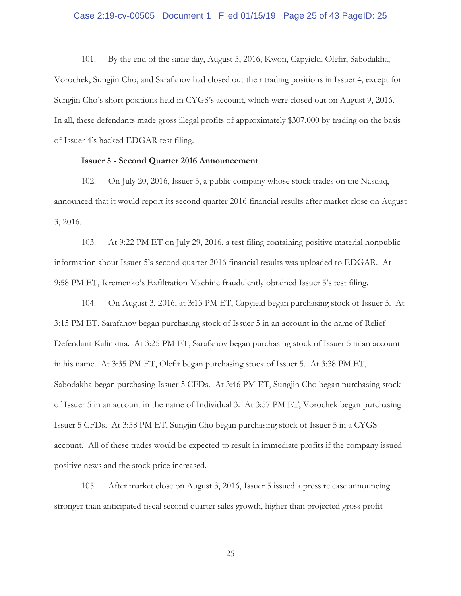## Case 2:19-cv-00505 Document 1 Filed 01/15/19 Page 25 of 43 PageID: 25

101. By the end of the same day, August 5, 2016, Kwon, Capyield, Olefir, Sabodakha, Vorochek, Sungjin Cho, and Sarafanov had closed out their trading positions in Issuer 4, except for Sungjin Cho's short positions held in CYGS's account, which were closed out on August 9, 2016. In all, these defendants made gross illegal profits of approximately \$307,000 by trading on the basis of Issuer 4's hacked EDGAR test filing.

## **Issuer 5 - Second Quarter 2016 Announcement**

102. On July 20, 2016, Issuer 5, a public company whose stock trades on the Nasdaq, announced that it would report its second quarter 2016 financial results after market close on August 3, 2016.

103. At 9:22 PM ET on July 29, 2016, a test filing containing positive material nonpublic information about Issuer 5's second quarter 2016 financial results was uploaded to EDGAR. At 9:58 PM ET, Ieremenko's Exfiltration Machine fraudulently obtained Issuer 5's test filing.

104. On August 3, 2016, at 3:13 PM ET, Capyield began purchasing stock of Issuer 5. At 3:15 PM ET, Sarafanov began purchasing stock of Issuer 5 in an account in the name of Relief Defendant Kalinkina. At 3:25 PM ET, Sarafanov began purchasing stock of Issuer 5 in an account in his name. At 3:35 PM ET, Olefir began purchasing stock of Issuer 5. At 3:38 PM ET, Sabodakha began purchasing Issuer 5 CFDs. At 3:46 PM ET, Sungjin Cho began purchasing stock of Issuer 5 in an account in the name of Individual 3. At 3:57 PM ET, Vorochek began purchasing Issuer 5 CFDs. At 3:58 PM ET, Sungjin Cho began purchasing stock of Issuer 5 in a CYGS account. All of these trades would be expected to result in immediate profits if the company issued positive news and the stock price increased.

105. After market close on August 3, 2016, Issuer 5 issued a press release announcing stronger than anticipated fiscal second quarter sales growth, higher than projected gross profit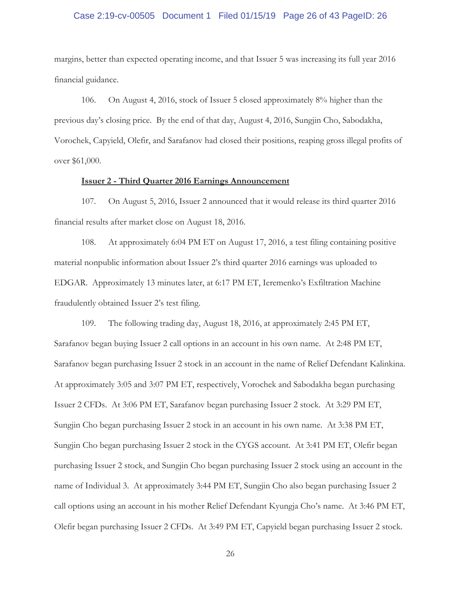## Case 2:19-cv-00505 Document 1 Filed 01/15/19 Page 26 of 43 PageID: 26

margins, better than expected operating income, and that Issuer 5 was increasing its full year 2016 financial guidance.

106. On August 4, 2016, stock of Issuer 5 closed approximately 8% higher than the previous day's closing price. By the end of that day, August 4, 2016, Sungjin Cho, Sabodakha, Vorochek, Capyield, Olefir, and Sarafanov had closed their positions, reaping gross illegal profits of over \$61,000.

#### **Issuer 2 - Third Quarter 2016 Earnings Announcement**

107. On August 5, 2016, Issuer 2 announced that it would release its third quarter 2016 financial results after market close on August 18, 2016.

108. At approximately 6:04 PM ET on August 17, 2016, a test filing containing positive material nonpublic information about Issuer 2's third quarter 2016 earnings was uploaded to EDGAR. Approximately 13 minutes later, at 6:17 PM ET, Ieremenko's Exfiltration Machine fraudulently obtained Issuer 2's test filing.

109. The following trading day, August 18, 2016, at approximately 2:45 PM ET, Sarafanov began buying Issuer 2 call options in an account in his own name. At 2:48 PM ET, Sarafanov began purchasing Issuer 2 stock in an account in the name of Relief Defendant Kalinkina. At approximately 3:05 and 3:07 PM ET, respectively, Vorochek and Sabodakha began purchasing Issuer 2 CFDs. At 3:06 PM ET, Sarafanov began purchasing Issuer 2 stock. At 3:29 PM ET, Sungjin Cho began purchasing Issuer 2 stock in an account in his own name. At 3:38 PM ET, Sungjin Cho began purchasing Issuer 2 stock in the CYGS account. At 3:41 PM ET, Olefir began purchasing Issuer 2 stock, and Sungjin Cho began purchasing Issuer 2 stock using an account in the name of Individual 3. At approximately 3:44 PM ET, Sungjin Cho also began purchasing Issuer 2 call options using an account in his mother Relief Defendant Kyungja Cho's name. At 3:46 PM ET, Olefir began purchasing Issuer 2 CFDs. At 3:49 PM ET, Capyield began purchasing Issuer 2 stock.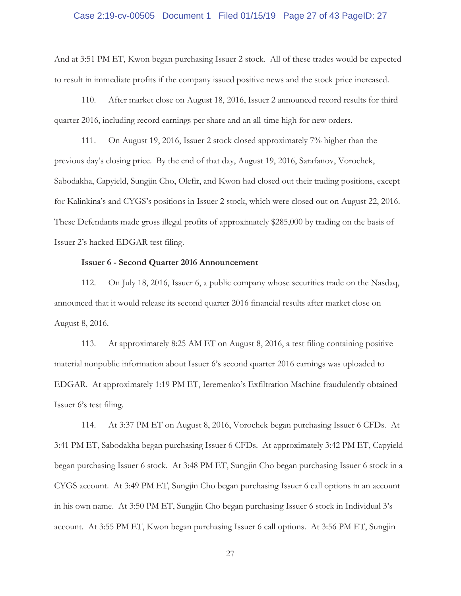## Case 2:19-cv-00505 Document 1 Filed 01/15/19 Page 27 of 43 PageID: 27

And at 3:51 PM ET, Kwon began purchasing Issuer 2 stock. All of these trades would be expected to result in immediate profits if the company issued positive news and the stock price increased.

110. After market close on August 18, 2016, Issuer 2 announced record results for third quarter 2016, including record earnings per share and an all-time high for new orders.

111. On August 19, 2016, Issuer 2 stock closed approximately 7% higher than the previous day's closing price. By the end of that day, August 19, 2016, Sarafanov, Vorochek, Sabodakha, Capyield, Sungjin Cho, Olefir, and Kwon had closed out their trading positions, except for Kalinkina's and CYGS's positions in Issuer 2 stock, which were closed out on August 22, 2016. These Defendants made gross illegal profits of approximately \$285,000 by trading on the basis of Issuer 2's hacked EDGAR test filing.

#### **Issuer 6 - Second Quarter 2016 Announcement**

112. On July 18, 2016, Issuer 6, a public company whose securities trade on the Nasdaq, announced that it would release its second quarter 2016 financial results after market close on August 8, 2016.

113. At approximately 8:25 AM ET on August 8, 2016, a test filing containing positive material nonpublic information about Issuer 6's second quarter 2016 earnings was uploaded to EDGAR. At approximately 1:19 PM ET, Ieremenko's Exfiltration Machine fraudulently obtained Issuer 6's test filing.

114. At 3:37 PM ET on August 8, 2016, Vorochek began purchasing Issuer 6 CFDs. At 3:41 PM ET, Sabodakha began purchasing Issuer 6 CFDs. At approximately 3:42 PM ET, Capyield began purchasing Issuer 6 stock. At 3:48 PM ET, Sungjin Cho began purchasing Issuer 6 stock in a CYGS account. At 3:49 PM ET, Sungjin Cho began purchasing Issuer 6 call options in an account in his own name. At 3:50 PM ET, Sungjin Cho began purchasing Issuer 6 stock in Individual 3's account. At 3:55 PM ET, Kwon began purchasing Issuer 6 call options. At 3:56 PM ET, Sungjin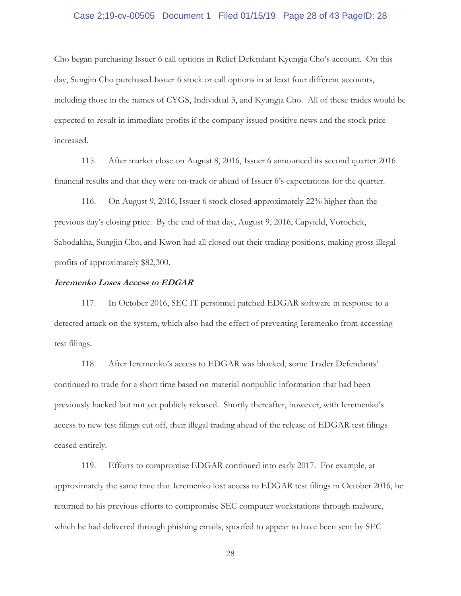## Case 2:19-cv-00505 Document 1 Filed 01/15/19 Page 28 of 43 PageID: 28

Cho began purchasing Issuer 6 call options in Relief Defendant Kyungja Cho's account. On this day, Sungjin Cho purchased Issuer 6 stock or call options in at least four different accounts, including those in the names of CYGS, Individual 3, and Kyungja Cho. All of these trades would be expected to result in immediate profits if the company issued positive news and the stock price increased.

115. After market close on August 8, 2016, Issuer 6 announced its second quarter 2016 financial results and that they were on-track or ahead of Issuer 6's expectations for the quarter.

116. On August 9, 2016, Issuer 6 stock closed approximately 22% higher than the previous day's closing price. By the end of that day, August 9, 2016, Capyield, Vorochek, Sabodakha, Sungjin Cho, and Kwon had all closed out their trading positions, making gross illegal profits of approximately \$82,300.

## **Ieremenko Loses Access to EDGAR**

117. In October 2016, SEC IT personnel patched EDGAR software in response to a detected attack on the system, which also had the effect of preventing Ieremenko from accessing test filings.

118. After Ieremenko's access to EDGAR was blocked, some Trader Defendants' continued to trade for a short time based on material nonpublic information that had been previously hacked but not yet publicly released. Shortly thereafter, however, with Ieremenko's access to new test filings cut off, their illegal trading ahead of the release of EDGAR test filings ceased entirely.

119. Efforts to compromise EDGAR continued into early 2017. For example, at approximately the same time that Ieremenko lost access to EDGAR test filings in October 2016, he returned to his previous efforts to compromise SEC computer workstations through malware, which he had delivered through phishing emails, spoofed to appear to have been sent by SEC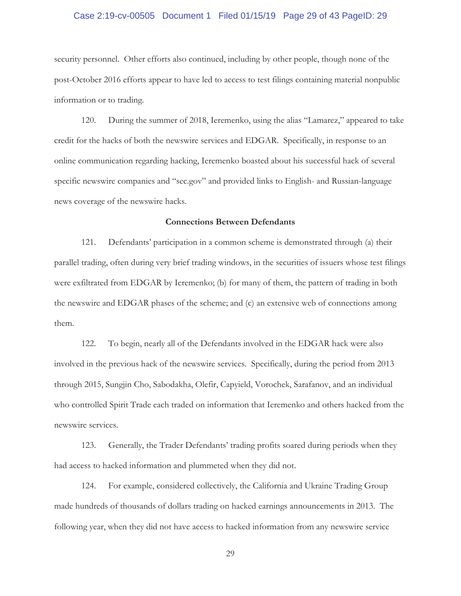## Case 2:19-cv-00505 Document 1 Filed 01/15/19 Page 29 of 43 PageID: 29

security personnel. Other efforts also continued, including by other people, though none of the post-October 2016 efforts appear to have led to access to test filings containing material nonpublic information or to trading.

120. During the summer of 2018, Ieremenko, using the alias "Lamarez," appeared to take credit for the hacks of both the newswire services and EDGAR. Specifically, in response to an online communication regarding hacking, Ieremenko boasted about his successful hack of several specific newswire companies and "sec.gov" and provided links to English- and Russian-language news coverage of the newswire hacks.

## **Connections Between Defendants**

121. Defendants' participation in a common scheme is demonstrated through (a) their parallel trading, often during very brief trading windows, in the securities of issuers whose test filings were exfiltrated from EDGAR by Ieremenko; (b) for many of them, the pattern of trading in both the newswire and EDGAR phases of the scheme; and (c) an extensive web of connections among them.

122. To begin, nearly all of the Defendants involved in the EDGAR hack were also involved in the previous hack of the newswire services. Specifically, during the period from 2013 through 2015, Sungjin Cho, Sabodakha, Olefir, Capyield, Vorochek, Sarafanov, and an individual who controlled Spirit Trade each traded on information that Ieremenko and others hacked from the newswire services.

123. Generally, the Trader Defendants' trading profits soared during periods when they had access to hacked information and plummeted when they did not.

124. For example, considered collectively, the California and Ukraine Trading Group made hundreds of thousands of dollars trading on hacked earnings announcements in 2013. The following year, when they did not have access to hacked information from any newswire service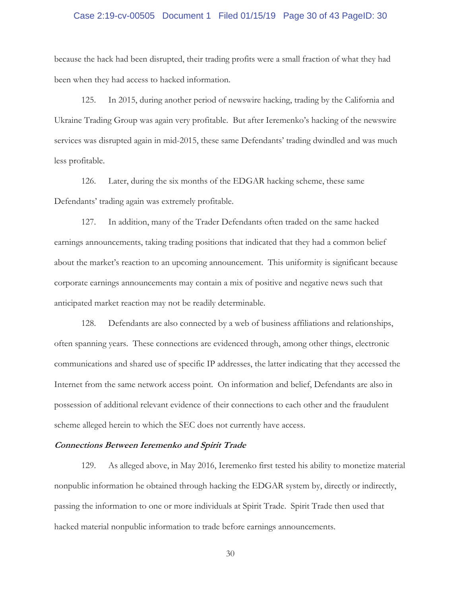## Case 2:19-cv-00505 Document 1 Filed 01/15/19 Page 30 of 43 PageID: 30

because the hack had been disrupted, their trading profits were a small fraction of what they had been when they had access to hacked information.

125. In 2015, during another period of newswire hacking, trading by the California and Ukraine Trading Group was again very profitable. But after Ieremenko's hacking of the newswire services was disrupted again in mid-2015, these same Defendants' trading dwindled and was much less profitable.

126. Later, during the six months of the EDGAR hacking scheme, these same Defendants' trading again was extremely profitable.

127. In addition, many of the Trader Defendants often traded on the same hacked earnings announcements, taking trading positions that indicated that they had a common belief about the market's reaction to an upcoming announcement. This uniformity is significant because corporate earnings announcements may contain a mix of positive and negative news such that anticipated market reaction may not be readily determinable.

128. Defendants are also connected by a web of business affiliations and relationships, often spanning years. These connections are evidenced through, among other things, electronic communications and shared use of specific IP addresses, the latter indicating that they accessed the Internet from the same network access point. On information and belief, Defendants are also in possession of additional relevant evidence of their connections to each other and the fraudulent scheme alleged herein to which the SEC does not currently have access.

#### **Connections Between Ieremenko and Spirit Trade**

129. As alleged above, in May 2016, Ieremenko first tested his ability to monetize material nonpublic information he obtained through hacking the EDGAR system by, directly or indirectly, passing the information to one or more individuals at Spirit Trade. Spirit Trade then used that hacked material nonpublic information to trade before earnings announcements.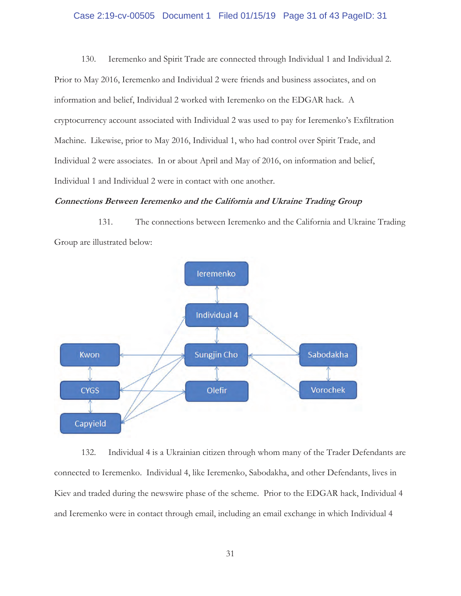## Case 2:19-cv-00505 Document 1 Filed 01/15/19 Page 31 of 43 PageID: 31

130. Ieremenko and Spirit Trade are connected through Individual 1 and Individual 2. Prior to May 2016, Ieremenko and Individual 2 were friends and business associates, and on information and belief, Individual 2 worked with Ieremenko on the EDGAR hack. A cryptocurrency account associated with Individual 2 was used to pay for Ieremenko's Exfiltration Machine. Likewise, prior to May 2016, Individual 1, who had control over Spirit Trade, and Individual 2 were associates. In or about April and May of 2016, on information and belief, Individual 1 and Individual 2 were in contact with one another.

#### **Connections Between Ieremenko and the California and Ukraine Trading Group**

131. The connections between Ieremenko and the California and Ukraine Trading Group are illustrated below:



132. Individual 4 is a Ukrainian citizen through whom many of the Trader Defendants are connected to Ieremenko. Individual 4, like Ieremenko, Sabodakha, and other Defendants, lives in Kiev and traded during the newswire phase of the scheme. Prior to the EDGAR hack, Individual 4 and Ieremenko were in contact through email, including an email exchange in which Individual 4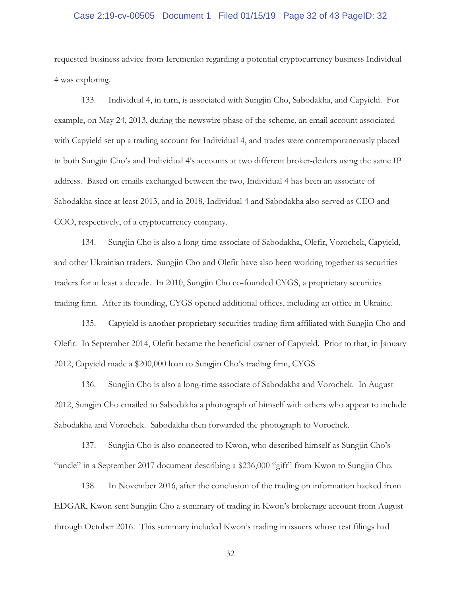## Case 2:19-cv-00505 Document 1 Filed 01/15/19 Page 32 of 43 PageID: 32

requested business advice from Ieremenko regarding a potential cryptocurrency business Individual 4 was exploring.

133. Individual 4, in turn, is associated with Sungjin Cho, Sabodakha, and Capyield. For example, on May 24, 2013, during the newswire phase of the scheme, an email account associated with Capyield set up a trading account for Individual 4, and trades were contemporaneously placed in both Sungjin Cho's and Individual 4's accounts at two different broker-dealers using the same IP address. Based on emails exchanged between the two, Individual 4 has been an associate of Sabodakha since at least 2013, and in 2018, Individual 4 and Sabodakha also served as CEO and COO, respectively, of a cryptocurrency company.

134. Sungjin Cho is also a long-time associate of Sabodakha, Olefir, Vorochek, Capyield, and other Ukrainian traders. Sungjin Cho and Olefir have also been working together as securities traders for at least a decade. In 2010, Sungjin Cho co-founded CYGS, a proprietary securities trading firm. After its founding, CYGS opened additional offices, including an office in Ukraine.

135. Capyield is another proprietary securities trading firm affiliated with Sungjin Cho and Olefir. In September 2014, Olefir became the beneficial owner of Capyield. Prior to that, in January 2012, Capyield made a \$200,000 loan to Sungjin Cho's trading firm, CYGS.

136. Sungjin Cho is also a long-time associate of Sabodakha and Vorochek. In August 2012, Sungjin Cho emailed to Sabodakha a photograph of himself with others who appear to include Sabodakha and Vorochek. Sabodakha then forwarded the photograph to Vorochek.

137. Sungjin Cho is also connected to Kwon, who described himself as Sungjin Cho's "uncle" in a September 2017 document describing a \$236,000 "gift" from Kwon to Sungjin Cho.

138. In November 2016, after the conclusion of the trading on information hacked from EDGAR, Kwon sent Sungjin Cho a summary of trading in Kwon's brokerage account from August through October 2016. This summary included Kwon's trading in issuers whose test filings had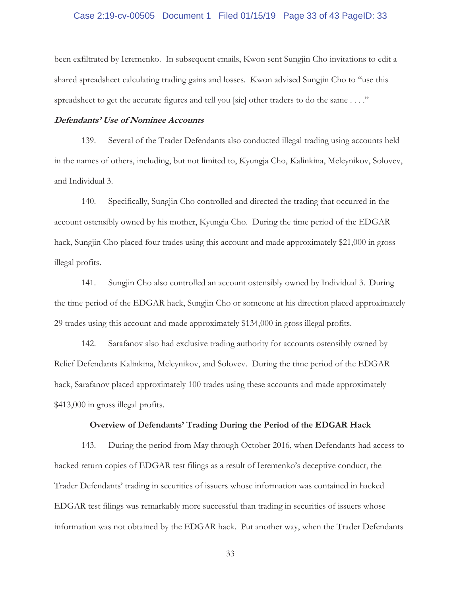## Case 2:19-cv-00505 Document 1 Filed 01/15/19 Page 33 of 43 PageID: 33

been exfiltrated by Ieremenko. In subsequent emails, Kwon sent Sungjin Cho invitations to edit a shared spreadsheet calculating trading gains and losses. Kwon advised Sungjin Cho to "use this spreadsheet to get the accurate figures and tell you [sic] other traders to do the same . . . ."

#### **Defendants' Use of Nominee Accounts**

139. Several of the Trader Defendants also conducted illegal trading using accounts held in the names of others, including, but not limited to, Kyungja Cho, Kalinkina, Meleynikov, Solovev, and Individual 3.

140. Specifically, Sungjin Cho controlled and directed the trading that occurred in the account ostensibly owned by his mother, Kyungja Cho. During the time period of the EDGAR hack, Sungjin Cho placed four trades using this account and made approximately \$21,000 in gross illegal profits.

141. Sungjin Cho also controlled an account ostensibly owned by Individual 3.During the time period of the EDGAR hack, Sungjin Cho or someone at his direction placed approximately 29 trades using this account and made approximately \$134,000 in gross illegal profits.

142. Sarafanov also had exclusive trading authority for accounts ostensibly owned by Relief Defendants Kalinkina, Meleynikov, and Solovev. During the time period of the EDGAR hack, Sarafanov placed approximately 100 trades using these accounts and made approximately \$413,000 in gross illegal profits.

#### **Overview of Defendants' Trading During the Period of the EDGAR Hack**

143. During the period from May through October 2016, when Defendants had access to hacked return copies of EDGAR test filings as a result of Ieremenko's deceptive conduct, the Trader Defendants' trading in securities of issuers whose information was contained in hacked EDGAR test filings was remarkably more successful than trading in securities of issuers whose information was not obtained by the EDGAR hack. Put another way, when the Trader Defendants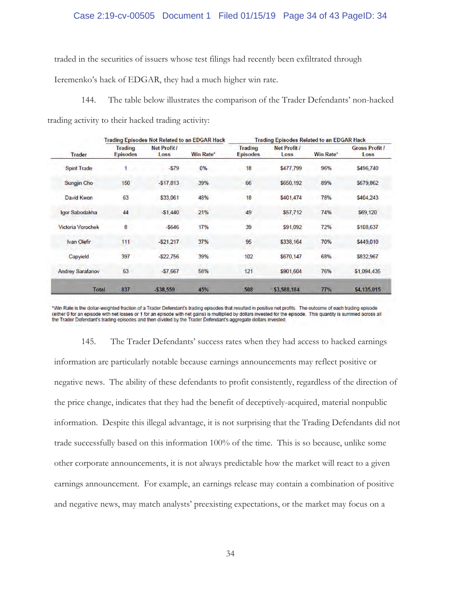## Case 2:19-cv-00505 Document 1 Filed 01/15/19 Page 34 of 43 PageID: 34

traded in the securities of issuers whose test filings had recently been exfiltrated through

Ieremenko's hack of EDGAR, they had a much higher win rate.

144. The table below illustrates the comparison of the Trader Defendants' non-hacked

trading activity to their hacked trading activity:

| <b>Trader</b>            | Trading Episodes Not Related to an EDGAR Hack |                      |                  | <b>Trading Episodes Related to an EDGAR Hack</b> |                             |           |                               |
|--------------------------|-----------------------------------------------|----------------------|------------------|--------------------------------------------------|-----------------------------|-----------|-------------------------------|
|                          | <b>Trading</b><br><b>Episodes</b>             | Net Profit /<br>Loss | <b>Win Rate*</b> | <b>Trading</b><br><b>Episodes</b>                | <b>Net Profit /</b><br>Loss | Win Rate* | <b>Gross Profit /</b><br>Loss |
| <b>Spirit Trade</b>      |                                               | $-579$               | 0%               | 18                                               | \$477,799                   | 96%       | \$496,740                     |
| Sungjin Cho              | 150                                           | $-$17,813$           | 39%              | 66                                               | \$650,192                   | 89%       | \$679,862                     |
| David Kwon               | 63                                            | \$33,061             | 48%              | 18                                               | \$401,474                   | 78%       | \$404,243                     |
| Igor Sabodakha           | 44                                            | $-51,440$            | 21%              | 49                                               | \$57,712                    | 74%       | \$69,120                      |
| <b>Victoria Vorochek</b> | 8                                             | $-5646$              | 17%              | 39                                               | \$91,092                    | 72%       | \$108,637                     |
| Ivan Olefir              | 111                                           | $-521,217$           | 37%              | 95                                               | \$338,164                   | 70%       | \$449,010                     |
| Capyield                 | 397                                           | $-$22,756$           | 39%              | 102                                              | \$670,147                   | 68%       | \$832,967                     |
| <b>Andrey Sarafanov</b>  | 63                                            | $-57,667$            | 58%              | 121                                              | \$901,604                   | 76%       | \$1,094,435                   |
| <b>Total</b>             | 837                                           | $-538,559$           | 45%              | 508                                              | \$3,588,184                 | 77%       | \$4,135,015                   |

\*Win Rate is the dollar-weighted fraction of a Trader Defendant's trading episodes that resulted in positive net profits. The outcome of each trading episode (either 0 for an episode with net losses or 1 for an episode with net gains) is multiplied by dollars invested for the episode. This quantity is summed across all the Trader Defendant's trading episodes and then divided by the Trader Defendant's aggregate dollars invested.

145. The Trader Defendants' success rates when they had access to hacked earnings information are particularly notable because earnings announcements may reflect positive or negative news. The ability of these defendants to profit consistently, regardless of the direction of the price change, indicates that they had the benefit of deceptively-acquired, material nonpublic information. Despite this illegal advantage, it is not surprising that the Trading Defendants did not trade successfully based on this information 100% of the time. This is so because, unlike some other corporate announcements, it is not always predictable how the market will react to a given earnings announcement. For example, an earnings release may contain a combination of positive and negative news, may match analysts' preexisting expectations, or the market may focus on a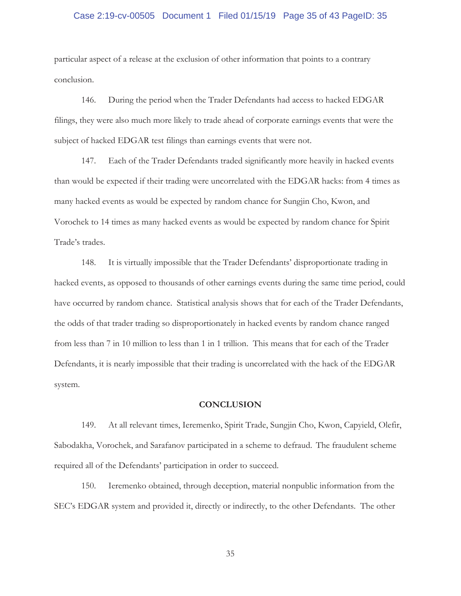## Case 2:19-cv-00505 Document 1 Filed 01/15/19 Page 35 of 43 PageID: 35

particular aspect of a release at the exclusion of other information that points to a contrary conclusion.

146. During the period when the Trader Defendants had access to hacked EDGAR filings, they were also much more likely to trade ahead of corporate earnings events that were the subject of hacked EDGAR test filings than earnings events that were not.

147. Each of the Trader Defendants traded significantly more heavily in hacked events than would be expected if their trading were uncorrelated with the EDGAR hacks: from 4 times as many hacked events as would be expected by random chance for Sungjin Cho, Kwon, and Vorochek to 14 times as many hacked events as would be expected by random chance for Spirit Trade's trades.

148. It is virtually impossible that the Trader Defendants' disproportionate trading in hacked events, as opposed to thousands of other earnings events during the same time period, could have occurred by random chance. Statistical analysis shows that for each of the Trader Defendants, the odds of that trader trading so disproportionately in hacked events by random chance ranged from less than 7 in 10 million to less than 1 in 1 trillion. This means that for each of the Trader Defendants, it is nearly impossible that their trading is uncorrelated with the hack of the EDGAR system.

#### **CONCLUSION**

149. At all relevant times, Ieremenko, Spirit Trade, Sungjin Cho, Kwon, Capyield, Olefir, Sabodakha, Vorochek, and Sarafanov participated in a scheme to defraud.The fraudulent scheme required all of the Defendants' participation in order to succeed.

150. Ieremenko obtained, through deception, material nonpublic information from the SEC's EDGAR system and provided it, directly or indirectly, to the other Defendants. The other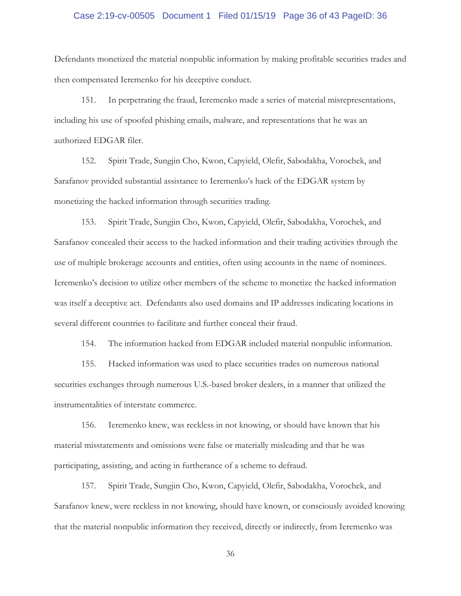## Case 2:19-cv-00505 Document 1 Filed 01/15/19 Page 36 of 43 PageID: 36

Defendants monetized the material nonpublic information by making profitable securities trades and then compensated Ieremenko for his deceptive conduct.

151. In perpetrating the fraud, Ieremenko made a series of material misrepresentations, including his use of spoofed phishing emails, malware, and representations that he was an authorized EDGAR filer.

152. Spirit Trade, Sungjin Cho, Kwon, Capyield, Olefir, Sabodakha, Vorochek, and Sarafanov provided substantial assistance to Ieremenko's hack of the EDGAR system by monetizing the hacked information through securities trading.

153. Spirit Trade, Sungjin Cho, Kwon, Capyield, Olefir, Sabodakha, Vorochek, and Sarafanov concealed their access to the hacked information and their trading activities through the use of multiple brokerage accounts and entities, often using accounts in the name of nominees. Ieremenko's decision to utilize other members of the scheme to monetize the hacked information was itself a deceptive act. Defendants also used domains and IP addresses indicating locations in several different countries to facilitate and further conceal their fraud.

154. The information hacked from EDGAR included material nonpublic information.

155. Hacked information was used to place securities trades on numerous national securities exchanges through numerous U.S.-based broker dealers, in a manner that utilized the instrumentalities of interstate commerce.

156. Ieremenko knew, was reckless in not knowing, or should have known that his material misstatements and omissions were false or materially misleading and that he was participating, assisting, and acting in furtherance of a scheme to defraud.

157. Spirit Trade, Sungjin Cho, Kwon, Capyield, Olefir, Sabodakha, Vorochek, and Sarafanov knew, were reckless in not knowing, should have known, or consciously avoided knowing that the material nonpublic information they received, directly or indirectly, from Ieremenko was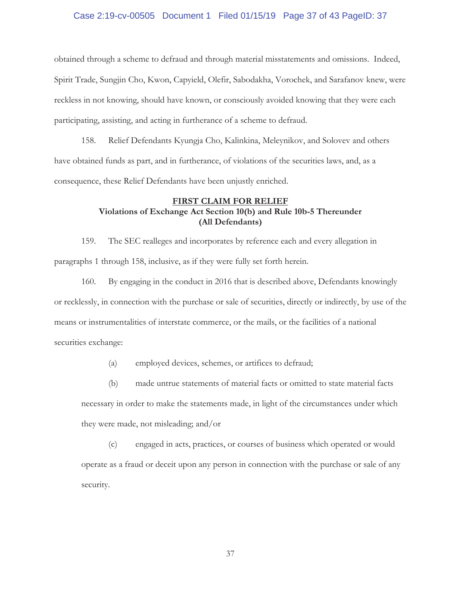## Case 2:19-cv-00505 Document 1 Filed 01/15/19 Page 37 of 43 PageID: 37

obtained through a scheme to defraud and through material misstatements and omissions. Indeed, Spirit Trade, Sungjin Cho, Kwon, Capyield, Olefir, Sabodakha, Vorochek, and Sarafanov knew, were reckless in not knowing, should have known, or consciously avoided knowing that they were each participating, assisting, and acting in furtherance of a scheme to defraud.

158. Relief Defendants Kyungja Cho, Kalinkina, Meleynikov, and Solovev and others have obtained funds as part, and in furtherance, of violations of the securities laws, and, as a consequence, these Relief Defendants have been unjustly enriched.

# **FIRST CLAIM FOR RELIEF Violations of Exchange Act Section 10(b) and Rule 10b-5 Thereunder (All Defendants)**

159. The SEC realleges and incorporates by reference each and every allegation in paragraphs 1 through 158, inclusive, as if they were fully set forth herein.

160. By engaging in the conduct in 2016 that is described above, Defendants knowingly or recklessly, in connection with the purchase or sale of securities, directly or indirectly, by use of the means or instrumentalities of interstate commerce, or the mails, or the facilities of a national securities exchange:

(a) employed devices, schemes, or artifices to defraud;

(b) made untrue statements of material facts or omitted to state material facts necessary in order to make the statements made, in light of the circumstances under which they were made, not misleading; and/or

(c) engaged in acts, practices, or courses of business which operated or would operate as a fraud or deceit upon any person in connection with the purchase or sale of any security.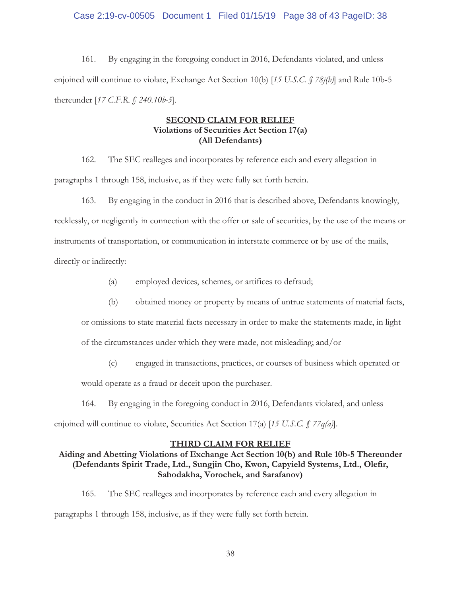## Case 2:19-cv-00505 Document 1 Filed 01/15/19 Page 38 of 43 PageID: 38

161. By engaging in the foregoing conduct in 2016, Defendants violated, and unless enjoined will continue to violate, Exchange Act Section 10(b) [*15 U.S.C. § 78j(b)*] and Rule 10b-5 thereunder [*17 C.F.R. § 240.10b-5*].

# **SECOND CLAIM FOR RELIEF Violations of Securities Act Section 17(a) (All Defendants)**

162. The SEC realleges and incorporates by reference each and every allegation in paragraphs 1 through 158, inclusive, as if they were fully set forth herein.

163. By engaging in the conduct in 2016 that is described above, Defendants knowingly,

recklessly, or negligently in connection with the offer or sale of securities, by the use of the means or instruments of transportation, or communication in interstate commerce or by use of the mails, directly or indirectly:

(a) employed devices, schemes, or artifices to defraud;

(b) obtained money or property by means of untrue statements of material facts,

or omissions to state material facts necessary in order to make the statements made, in light

of the circumstances under which they were made, not misleading; and/or

(c) engaged in transactions, practices, or courses of business which operated or

would operate as a fraud or deceit upon the purchaser.

164. By engaging in the foregoing conduct in 2016, Defendants violated, and unless enjoined will continue to violate, Securities Act Section 17(a) [*15 U.S.C. § 77q(a)*].

#### **THIRD CLAIM FOR RELIEF**

# **Aiding and Abetting Violations of Exchange Act Section 10(b) and Rule 10b-5 Thereunder (Defendants Spirit Trade, Ltd., Sungjin Cho, Kwon, Capyield Systems, Ltd., Olefir, Sabodakha, Vorochek, and Sarafanov)**

165. The SEC realleges and incorporates by reference each and every allegation in paragraphs 1 through 158, inclusive, as if they were fully set forth herein.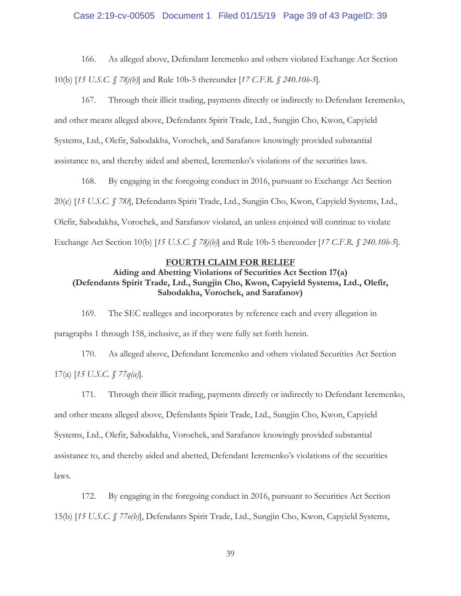## Case 2:19-cv-00505 Document 1 Filed 01/15/19 Page 39 of 43 PageID: 39

166. As alleged above, Defendant Ieremenko and others violated Exchange Act Section 10(b) [*15 U.S.C. § 78j(b)*] and Rule 10b-5 thereunder [*17 C.F.R. § 240.10b-5*].

167. Through their illicit trading, payments directly or indirectly to Defendant Ieremenko, and other means alleged above, Defendants Spirit Trade, Ltd., Sungjin Cho, Kwon, Capyield Systems, Ltd., Olefir, Sabodakha, Vorochek, and Sarafanov knowingly provided substantial assistance to, and thereby aided and abetted, Ieremenko's violations of the securities laws.

168. By engaging in the foregoing conduct in 2016, pursuant to Exchange Act Section 20(e) [*15 U.S.C. § 78t*], Defendants Spirit Trade, Ltd., Sungjin Cho, Kwon, Capyield Systems, Ltd., Olefir, Sabodakha, Vorochek, and Sarafanov violated, an unless enjoined will continue to violate Exchange Act Section 10(b) [*15 U.S.C. § 78j(b)*] and Rule 10b-5 thereunder [*17 C.F.R. § 240.10b-5*].

# **FOURTH CLAIM FOR RELIEF**

# **Aiding and Abetting Violations of Securities Act Section 17(a) (Defendants Spirit Trade, Ltd., Sungjin Cho, Kwon, Capyield Systems, Ltd., Olefir, Sabodakha, Vorochek, and Sarafanov)**

169. The SEC realleges and incorporates by reference each and every allegation in paragraphs 1 through 158, inclusive, as if they were fully set forth herein.

170. As alleged above, Defendant Ieremenko and others violated Securities Act Section 17(a) [*15 U.S.C. § 77q(a)*].

171. Through their illicit trading, payments directly or indirectly to Defendant Ieremenko, and other means alleged above, Defendants Spirit Trade, Ltd., Sungjin Cho, Kwon, Capyield Systems, Ltd., Olefir, Sabodakha, Vorochek, and Sarafanov knowingly provided substantial assistance to, and thereby aided and abetted, Defendant Ieremenko's violations of the securities laws.

172. By engaging in the foregoing conduct in 2016, pursuant to Securities Act Section 15(b) [*15 U.S.C. § 77o(b)*], Defendants Spirit Trade, Ltd., Sungjin Cho, Kwon, Capyield Systems,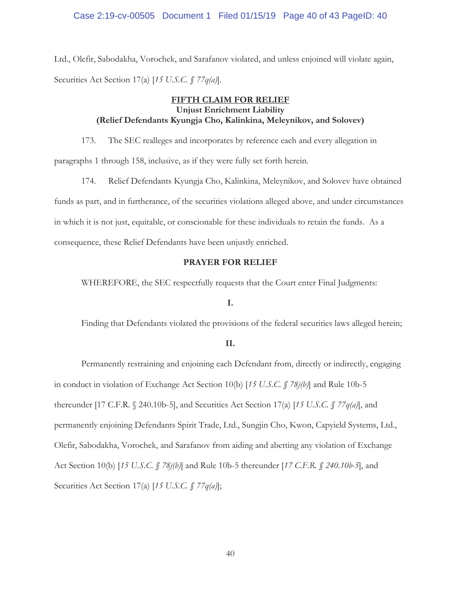## Case 2:19-cv-00505 Document 1 Filed 01/15/19 Page 40 of 43 PageID: 40

Ltd., Olefir, Sabodakha, Vorochek, and Sarafanov violated, and unless enjoined will violate again, Securities Act Section 17(a) [*15 U.S.C. § 77q(a)*].

# **FIFTH CLAIM FOR RELIEF Unjust Enrichment Liability (Relief Defendants Kyungja Cho, Kalinkina, Meleynikov, and Solovev)**

173. The SEC realleges and incorporates by reference each and every allegation in paragraphs 1 through 158, inclusive, as if they were fully set forth herein.

174. Relief Defendants Kyungja Cho, Kalinkina, Meleynikov, and Solovev have obtained funds as part, and in furtherance, of the securities violations alleged above, and under circumstances in which it is not just, equitable, or conscionable for these individuals to retain the funds. As a consequence, these Relief Defendants have been unjustly enriched.

## **PRAYER FOR RELIEF**

WHEREFORE, the SEC respectfully requests that the Court enter Final Judgments:

#### **I.**

Finding that Defendants violated the provisions of the federal securities laws alleged herein;

#### **II.**

Permanently restraining and enjoining each Defendant from, directly or indirectly, engaging in conduct in violation of Exchange Act Section 10(b) [*15 U.S.C. § 78j(b)*] and Rule 10b-5 thereunder [17 C.F.R. § 240.10b-5], and Securities Act Section 17(a) [*15 U.S.C. § 77q(a)*], and permanently enjoining Defendants Spirit Trade, Ltd., Sungjin Cho, Kwon, Capyield Systems, Ltd., Olefir, Sabodakha, Vorochek, and Sarafanov from aiding and abetting any violation of Exchange Act Section 10(b) [*15 U.S.C. § 78j(b)*] and Rule 10b-5 thereunder [*17 C.F.R. § 240.10b-5*], and Securities Act Section 17(a) [*15 U.S.C. § 77q(a)*];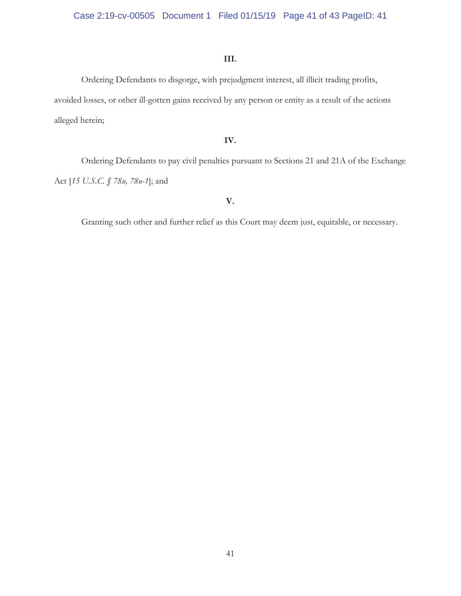# **III.**

Ordering Defendants to disgorge, with prejudgment interest, all illicit trading profits, avoided losses, or other ill-gotten gains received by any person or entity as a result of the actions alleged herein;

## **IV.**

Ordering Defendants to pay civil penalties pursuant to Sections 21 and 21A of the Exchange Act [*15 U.S.C. § 78u, 78u-1*]; and

## **V.**

Granting such other and further relief as this Court may deem just, equitable, or necessary.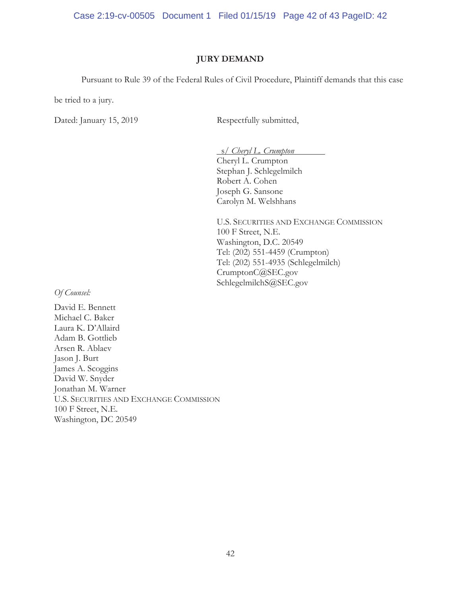Case 2:19-cv-00505 Document 1 Filed 01/15/19 Page 42 of 43 PageID: 42

## **JURY DEMAND**

Pursuant to Rule 39 of the Federal Rules of Civil Procedure, Plaintiff demands that this case

be tried to a jury.

Dated: January 15, 2019 Respectfully submitted,

 s/ *Cheryl L. Crumpton*  Cheryl L. Crumpton Stephan J. Schlegelmilch Robert A. Cohen Joseph G. Sansone Carolyn M. Welshhans

U.S. SECURITIES AND EXCHANGE COMMISSION 100 F Street, N.E. Washington, D.C. 20549 Tel: (202) 551-4459 (Crumpton) Tel: (202) 551-4935 (Schlegelmilch) CrumptonC@SEC.gov SchlegelmilchS@SEC.gov

*Of Counsel:* 

David E. Bennett Michael C. Baker Laura K. D'Allaird Adam B. Gottlieb Arsen R. Ablaev Jason J. Burt James A. Scoggins David W. Snyder Jonathan M. Warner U.S. SECURITIES AND EXCHANGE COMMISSION 100 F Street, N.E. Washington, DC 20549